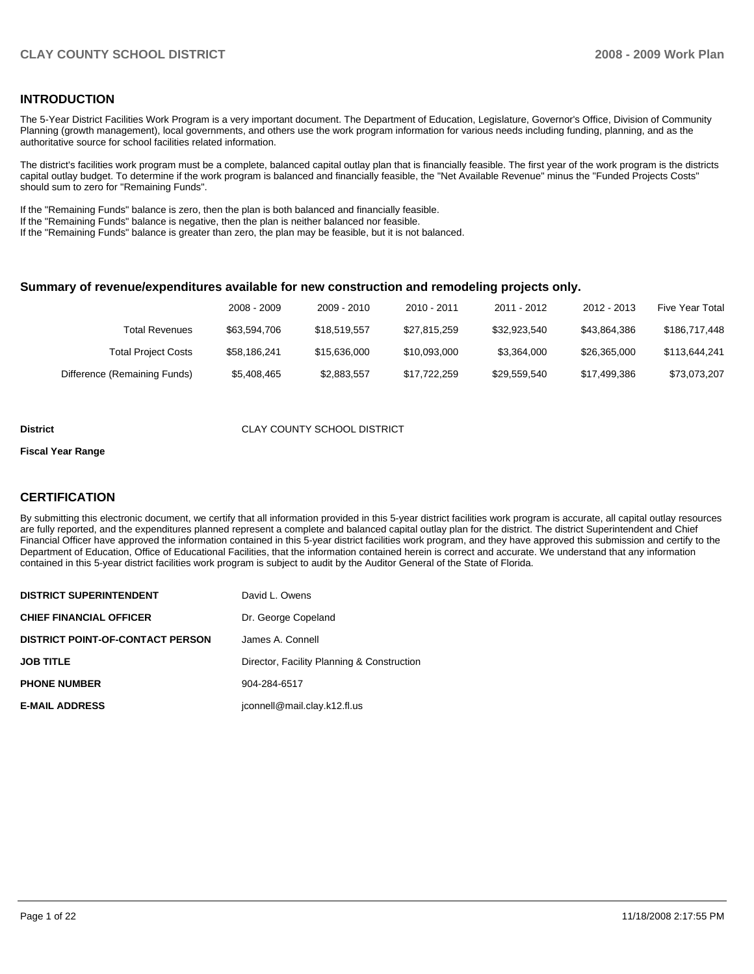# **INTRODUCTION**

The 5-Year District Facilities Work Program is a very important document. The Department of Education, Legislature, Governor's Office, Division of Community Planning (growth management), local governments, and others use the work program information for various needs including funding, planning, and as the authoritative source for school facilities related information.

The district's facilities work program must be a complete, balanced capital outlay plan that is financially feasible. The first year of the work program is the districts capital outlay budget. To determine if the work program is balanced and financially feasible, the "Net Available Revenue" minus the "Funded Projects Costs" should sum to zero for "Remaining Funds".

If the "Remaining Funds" balance is zero, then the plan is both balanced and financially feasible.

If the "Remaining Funds" balance is negative, then the plan is neither balanced nor feasible.

If the "Remaining Funds" balance is greater than zero, the plan may be feasible, but it is not balanced.

#### **Summary of revenue/expenditures available for new construction and remodeling projects only.**

|                              | 2008 - 2009  | 2009 - 2010  | 2010 - 2011  | 2011 - 2012  | 2012 - 2013  | <b>Five Year Total</b> |
|------------------------------|--------------|--------------|--------------|--------------|--------------|------------------------|
| Total Revenues               | \$63,594,706 | \$18.519.557 | \$27.815.259 | \$32.923.540 | \$43.864.386 | \$186,717,448          |
| <b>Total Project Costs</b>   | \$58.186.241 | \$15,636,000 | \$10.093.000 | \$3.364.000  | \$26,365,000 | \$113,644,241          |
| Difference (Remaining Funds) | \$5,408,465  | \$2,883,557  | \$17,722,259 | \$29,559,540 | \$17,499,386 | \$73,073,207           |

#### **District** CLAY COUNTY SCHOOL DISTRICT

#### **Fiscal Year Range**

### **CERTIFICATION**

By submitting this electronic document, we certify that all information provided in this 5-year district facilities work program is accurate, all capital outlay resources are fully reported, and the expenditures planned represent a complete and balanced capital outlay plan for the district. The district Superintendent and Chief Financial Officer have approved the information contained in this 5-year district facilities work program, and they have approved this submission and certify to the Department of Education, Office of Educational Facilities, that the information contained herein is correct and accurate. We understand that any information contained in this 5-year district facilities work program is subject to audit by the Auditor General of the State of Florida.

| <b>DISTRICT SUPERINTENDENT</b>          | David L. Owens                             |
|-----------------------------------------|--------------------------------------------|
| <b>CHIEF FINANCIAL OFFICER</b>          | Dr. George Copeland                        |
| <b>DISTRICT POINT-OF-CONTACT PERSON</b> | James A. Connell                           |
| JOB TITLE                               | Director, Facility Planning & Construction |
| <b>PHONE NUMBER</b>                     | 904-284-6517                               |
| <b>E-MAIL ADDRESS</b>                   | jconnell@mail.clay.k12.fl.us               |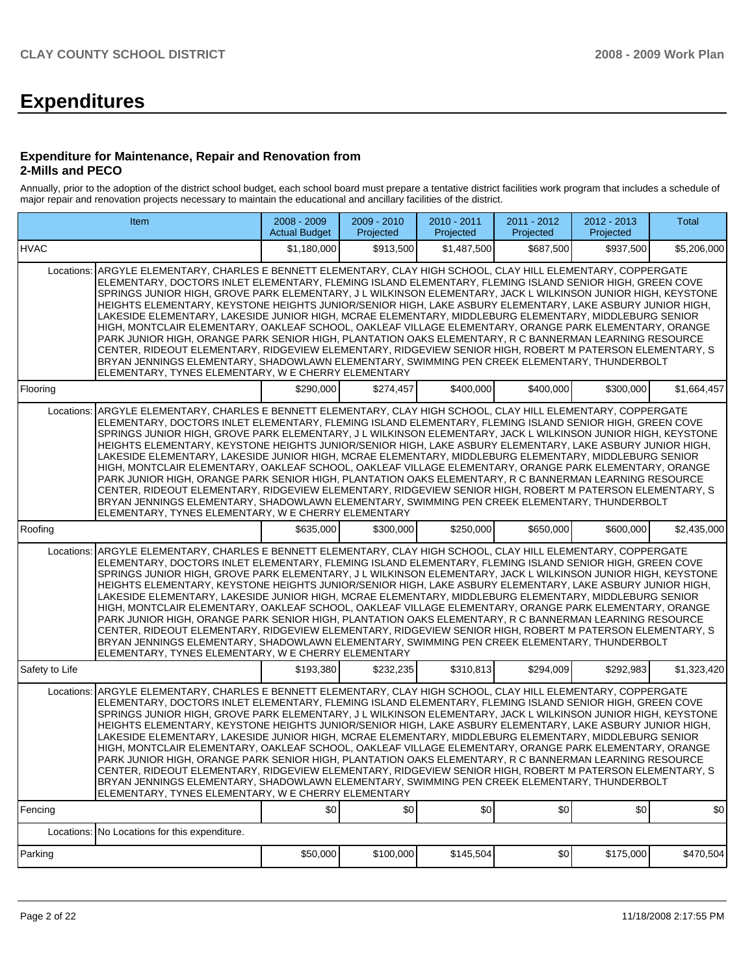# **Expenditures**

#### **Expenditure for Maintenance, Repair and Renovation from 2-Mills and PECO**

Annually, prior to the adoption of the district school budget, each school board must prepare a tentative district facilities work program that includes a schedule of major repair and renovation projects necessary to maintain the educational and ancillary facilities of the district.

|                | Item                                                                                                                                                                                                                                                                                                                                                                                                                                                                                                                                                                                                                                                                                                                                                                                                                                                                                                                                                                                                                                        |             | 2009 - 2010<br>Projected | 2010 - 2011<br>Projected | 2011 - 2012<br>Projected | $2012 - 2013$<br>Projected | Total       |
|----------------|---------------------------------------------------------------------------------------------------------------------------------------------------------------------------------------------------------------------------------------------------------------------------------------------------------------------------------------------------------------------------------------------------------------------------------------------------------------------------------------------------------------------------------------------------------------------------------------------------------------------------------------------------------------------------------------------------------------------------------------------------------------------------------------------------------------------------------------------------------------------------------------------------------------------------------------------------------------------------------------------------------------------------------------------|-------------|--------------------------|--------------------------|--------------------------|----------------------------|-------------|
| <b>HVAC</b>    |                                                                                                                                                                                                                                                                                                                                                                                                                                                                                                                                                                                                                                                                                                                                                                                                                                                                                                                                                                                                                                             | \$1.180.000 | \$913,500                | \$1,487,500              | \$687,500                | \$937,500                  | \$5,206,000 |
| Locations:     | ARGYLE ELEMENTARY, CHARLES E BENNETT ELEMENTARY, CLAY HIGH SCHOOL, CLAY HILL ELEMENTARY, COPPERGATE<br>ELEMENTARY, DOCTORS INLET ELEMENTARY, FLEMING ISLAND ELEMENTARY, FLEMING ISLAND SENIOR HIGH, GREEN COVE<br>SPRINGS JUNIOR HIGH, GROVE PARK ELEMENTARY, J L WILKINSON ELEMENTARY, JACK L WILKINSON JUNIOR HIGH, KEYSTONE<br>HEIGHTS ELEMENTARY, KEYSTONE HEIGHTS JUNIOR/SENIOR HIGH, LAKE ASBURY ELEMENTARY, LAKE ASBURY JUNIOR HIGH,<br>LAKESIDE ELEMENTARY, LAKESIDE JUNIOR HIGH, MCRAE ELEMENTARY, MIDDLEBURG ELEMENTARY, MIDDLEBURG SENIOR<br>HIGH, MONTCLAIR ELEMENTARY, OAKLEAF SCHOOL, OAKLEAF VILLAGE ELEMENTARY, ORANGE PARK ELEMENTARY, ORANGE<br>PARK JUNIOR HIGH, ORANGE PARK SENIOR HIGH, PLANTATION OAKS ELEMENTARY, R C BANNERMAN LEARNING RESOURCE<br>CENTER, RIDEOUT ELEMENTARY, RIDGEVIEW ELEMENTARY, RIDGEVIEW SENIOR HIGH, ROBERT M PATERSON ELEMENTARY, S<br>BRYAN JENNINGS ELEMENTARY, SHADOWLAWN ELEMENTARY, SWIMMING PEN CREEK ELEMENTARY, THUNDERBOLT<br>ELEMENTARY, TYNES ELEMENTARY, W E CHERRY ELEMENTARY |             |                          |                          |                          |                            |             |
| Flooring       |                                                                                                                                                                                                                                                                                                                                                                                                                                                                                                                                                                                                                                                                                                                                                                                                                                                                                                                                                                                                                                             | \$290,000   | \$274,457                | \$400,000                | \$400,000                | \$300,000                  | \$1,664,457 |
| Locations:     | ARGYLE ELEMENTARY, CHARLES E BENNETT ELEMENTARY, CLAY HIGH SCHOOL, CLAY HILL ELEMENTARY, COPPERGATE<br>ELEMENTARY, DOCTORS INLET ELEMENTARY, FLEMING ISLAND ELEMENTARY, FLEMING ISLAND SENIOR HIGH, GREEN COVE<br>SPRINGS JUNIOR HIGH, GROVE PARK ELEMENTARY, J L WILKINSON ELEMENTARY, JACK L WILKINSON JUNIOR HIGH, KEYSTONE<br>HEIGHTS ELEMENTARY, KEYSTONE HEIGHTS JUNIOR/SENIOR HIGH, LAKE ASBURY ELEMENTARY, LAKE ASBURY JUNIOR HIGH,<br>LAKESIDE ELEMENTARY, LAKESIDE JUNIOR HIGH, MCRAE ELEMENTARY, MIDDLEBURG ELEMENTARY, MIDDLEBURG SENIOR<br>HIGH, MONTCLAIR ELEMENTARY, OAKLEAF SCHOOL, OAKLEAF VILLAGE ELEMENTARY, ORANGE PARK ELEMENTARY, ORANGE<br>PARK JUNIOR HIGH, ORANGE PARK SENIOR HIGH, PLANTATION OAKS ELEMENTARY, R C BANNERMAN LEARNING RESOURCE<br>CENTER, RIDEOUT ELEMENTARY, RIDGEVIEW ELEMENTARY, RIDGEVIEW SENIOR HIGH, ROBERT M PATERSON ELEMENTARY, S<br>BRYAN JENNINGS ELEMENTARY, SHADOWLAWN ELEMENTARY, SWIMMING PEN CREEK ELEMENTARY, THUNDERBOLT<br>ELEMENTARY, TYNES ELEMENTARY, W E CHERRY ELEMENTARY |             |                          |                          |                          |                            |             |
| Roofing        |                                                                                                                                                                                                                                                                                                                                                                                                                                                                                                                                                                                                                                                                                                                                                                                                                                                                                                                                                                                                                                             | \$635,000   | \$300.000                | \$250,000                | \$650,000                | \$600,000                  | \$2,435,000 |
| Locations:     | ARGYLE ELEMENTARY, CHARLES E BENNETT ELEMENTARY, CLAY HIGH SCHOOL, CLAY HILL ELEMENTARY, COPPERGATE<br>ELEMENTARY, DOCTORS INLET ELEMENTARY, FLEMING ISLAND ELEMENTARY, FLEMING ISLAND SENIOR HIGH, GREEN COVE<br>SPRINGS JUNIOR HIGH, GROVE PARK ELEMENTARY, J L WILKINSON ELEMENTARY, JACK L WILKINSON JUNIOR HIGH, KEYSTONE<br>HEIGHTS ELEMENTARY, KEYSTONE HEIGHTS JUNIOR/SENIOR HIGH, LAKE ASBURY ELEMENTARY, LAKE ASBURY JUNIOR HIGH,<br>LAKESIDE ELEMENTARY, LAKESIDE JUNIOR HIGH, MCRAE ELEMENTARY, MIDDLEBURG ELEMENTARY, MIDDLEBURG SENIOR<br>HIGH, MONTCLAIR ELEMENTARY, OAKLEAF SCHOOL, OAKLEAF VILLAGE ELEMENTARY, ORANGE PARK ELEMENTARY, ORANGE<br>PARK JUNIOR HIGH, ORANGE PARK SENIOR HIGH, PLANTATION OAKS ELEMENTARY, R C BANNERMAN LEARNING RESOURCE<br>CENTER, RIDEOUT ELEMENTARY, RIDGEVIEW ELEMENTARY, RIDGEVIEW SENIOR HIGH, ROBERT M PATERSON ELEMENTARY, S<br>BRYAN JENNINGS ELEMENTARY, SHADOWLAWN ELEMENTARY, SWIMMING PEN CREEK ELEMENTARY, THUNDERBOLT<br>ELEMENTARY, TYNES ELEMENTARY, W E CHERRY ELEMENTARY |             |                          |                          |                          |                            |             |
| Safety to Life |                                                                                                                                                                                                                                                                                                                                                                                                                                                                                                                                                                                                                                                                                                                                                                                                                                                                                                                                                                                                                                             | \$193,380   | \$232,235                | \$310,813                | \$294,009                | \$292,983                  | \$1,323,420 |
| Locations:     | ARGYLE ELEMENTARY, CHARLES E BENNETT ELEMENTARY, CLAY HIGH SCHOOL, CLAY HILL ELEMENTARY, COPPERGATE<br>ELEMENTARY, DOCTORS INLET ELEMENTARY, FLEMING ISLAND ELEMENTARY, FLEMING ISLAND SENIOR HIGH, GREEN COVE<br>SPRINGS JUNIOR HIGH, GROVE PARK ELEMENTARY, J L WILKINSON ELEMENTARY, JACK L WILKINSON JUNIOR HIGH, KEYSTONE<br>HEIGHTS ELEMENTARY, KEYSTONE HEIGHTS JUNIOR/SENIOR HIGH, LAKE ASBURY ELEMENTARY, LAKE ASBURY JUNIOR HIGH,<br>LAKESIDE ELEMENTARY, LAKESIDE JUNIOR HIGH, MCRAE ELEMENTARY, MIDDLEBURG ELEMENTARY, MIDDLEBURG SENIOR<br>HIGH, MONTCLAIR ELEMENTARY, OAKLEAF SCHOOL, OAKLEAF VILLAGE ELEMENTARY, ORANGE PARK ELEMENTARY, ORANGE<br>PARK JUNIOR HIGH, ORANGE PARK SENIOR HIGH, PLANTATION OAKS ELEMENTARY, R C BANNERMAN LEARNING RESOURCE<br>CENTER, RIDEOUT ELEMENTARY, RIDGEVIEW ELEMENTARY, RIDGEVIEW SENIOR HIGH, ROBERT M PATERSON ELEMENTARY, S<br>BRYAN JENNINGS ELEMENTARY, SHADOWLAWN ELEMENTARY, SWIMMING PEN CREEK ELEMENTARY, THUNDERBOLT<br>ELEMENTARY, TYNES ELEMENTARY, W E CHERRY ELEMENTARY |             |                          |                          |                          |                            |             |
| Fencing        |                                                                                                                                                                                                                                                                                                                                                                                                                                                                                                                                                                                                                                                                                                                                                                                                                                                                                                                                                                                                                                             | \$0         | \$0                      | \$0                      | \$0                      | \$0                        | \$0         |
|                | Locations: No Locations for this expenditure.                                                                                                                                                                                                                                                                                                                                                                                                                                                                                                                                                                                                                                                                                                                                                                                                                                                                                                                                                                                               |             |                          |                          |                          |                            |             |
| Parking        |                                                                                                                                                                                                                                                                                                                                                                                                                                                                                                                                                                                                                                                                                                                                                                                                                                                                                                                                                                                                                                             | \$50,000    | \$100,000                | \$145,504                | \$0                      | \$175,000                  | \$470,504   |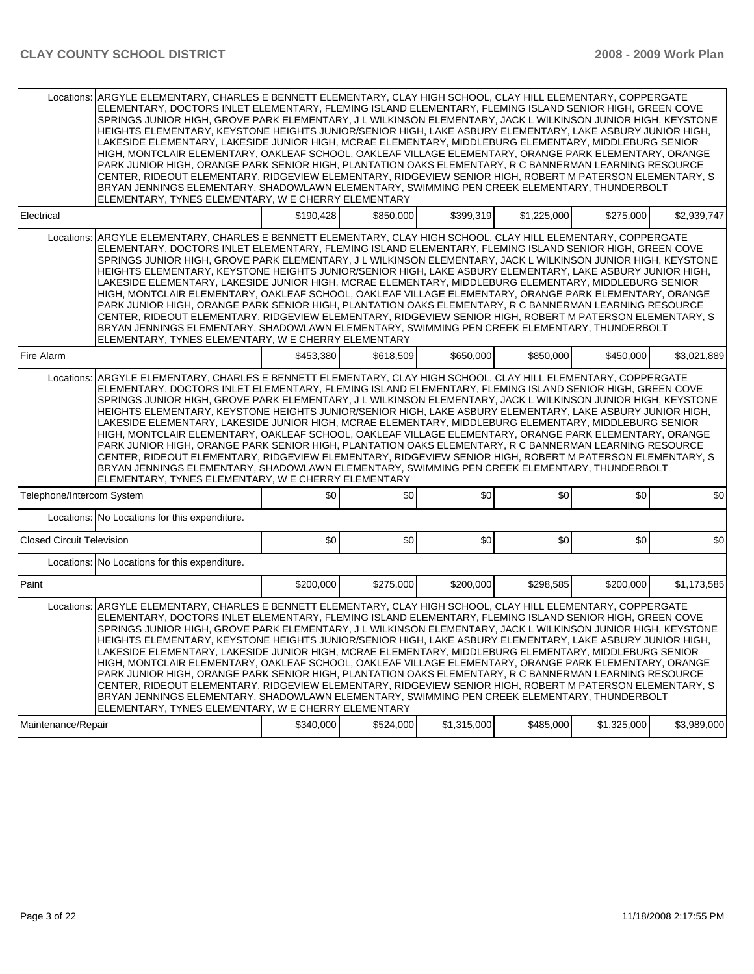|                                  | Locations: ARGYLE ELEMENTARY, CHARLES E BENNETT ELEMENTARY, CLAY HIGH SCHOOL, CLAY HILL ELEMENTARY, COPPERGATE<br>ELEMENTARY, DOCTORS INLET ELEMENTARY, FLEMING ISLAND ELEMENTARY, FLEMING ISLAND SENIOR HIGH, GREEN COVE<br>SPRINGS JUNIOR HIGH, GROVE PARK ELEMENTARY, J L WILKINSON ELEMENTARY, JACK L WILKINSON JUNIOR HIGH, KEYSTONE<br>HEIGHTS ELEMENTARY, KEYSTONE HEIGHTS JUNIOR/SENIOR HIGH, LAKE ASBURY ELEMENTARY, LAKE ASBURY JUNIOR HIGH,<br>LAKESIDE ELEMENTARY, LAKESIDE JUNIOR HIGH, MCRAE ELEMENTARY, MIDDLEBURG ELEMENTARY, MIDDLEBURG SENIOR<br>HIGH, MONTCLAIR ELEMENTARY, OAKLEAF SCHOOL, OAKLEAF VILLAGE ELEMENTARY, ORANGE PARK ELEMENTARY, ORANGE<br>PARK JUNIOR HIGH, ORANGE PARK SENIOR HIGH, PLANTATION OAKS ELEMENTARY, R C BANNERMAN LEARNING RESOURCE<br>CENTER, RIDEOUT ELEMENTARY, RIDGEVIEW ELEMENTARY, RIDGEVIEW SENIOR HIGH, ROBERT M PATERSON ELEMENTARY, S<br>BRYAN JENNINGS ELEMENTARY, SHADOWLAWN ELEMENTARY, SWIMMING PEN CREEK ELEMENTARY, THUNDERBOLT<br>ELEMENTARY, TYNES ELEMENTARY, W E CHERRY ELEMENTARY |           |           |             |             |             |             |
|----------------------------------|--------------------------------------------------------------------------------------------------------------------------------------------------------------------------------------------------------------------------------------------------------------------------------------------------------------------------------------------------------------------------------------------------------------------------------------------------------------------------------------------------------------------------------------------------------------------------------------------------------------------------------------------------------------------------------------------------------------------------------------------------------------------------------------------------------------------------------------------------------------------------------------------------------------------------------------------------------------------------------------------------------------------------------------------------------|-----------|-----------|-------------|-------------|-------------|-------------|
| Electrical                       |                                                                                                                                                                                                                                                                                                                                                                                                                                                                                                                                                                                                                                                                                                                                                                                                                                                                                                                                                                                                                                                        | \$190.428 | \$850,000 | \$399.319   | \$1,225,000 | \$275,000   | \$2,939,747 |
|                                  | Locations: ARGYLE ELEMENTARY, CHARLES E BENNETT ELEMENTARY, CLAY HIGH SCHOOL, CLAY HILL ELEMENTARY, COPPERGATE<br>ELEMENTARY, DOCTORS INLET ELEMENTARY, FLEMING ISLAND ELEMENTARY, FLEMING ISLAND SENIOR HIGH, GREEN COVE<br>SPRINGS JUNIOR HIGH, GROVE PARK ELEMENTARY, J L WILKINSON ELEMENTARY, JACK L WILKINSON JUNIOR HIGH, KEYSTONE<br>HEIGHTS ELEMENTARY, KEYSTONE HEIGHTS JUNIOR/SENIOR HIGH, LAKE ASBURY ELEMENTARY, LAKE ASBURY JUNIOR HIGH,<br>LAKESIDE ELEMENTARY, LAKESIDE JUNIOR HIGH, MCRAE ELEMENTARY, MIDDLEBURG ELEMENTARY, MIDDLEBURG SENIOR<br>HIGH, MONTCLAIR ELEMENTARY, OAKLEAF SCHOOL, OAKLEAF VILLAGE ELEMENTARY, ORANGE PARK ELEMENTARY, ORANGE<br>PARK JUNIOR HIGH, ORANGE PARK SENIOR HIGH, PLANTATION OAKS ELEMENTARY, R C BANNERMAN LEARNING RESOURCE<br>CENTER, RIDEOUT ELEMENTARY, RIDGEVIEW ELEMENTARY, RIDGEVIEW SENIOR HIGH, ROBERT M PATERSON ELEMENTARY, S<br>BRYAN JENNINGS ELEMENTARY, SHADOWLAWN ELEMENTARY, SWIMMING PEN CREEK ELEMENTARY, THUNDERBOLT<br>ELEMENTARY, TYNES ELEMENTARY, W E CHERRY ELEMENTARY |           |           |             |             |             |             |
| Fire Alarm                       |                                                                                                                                                                                                                                                                                                                                                                                                                                                                                                                                                                                                                                                                                                                                                                                                                                                                                                                                                                                                                                                        | \$453,380 | \$618,509 | \$650,000   | \$850,000   | \$450,000   | \$3.021.889 |
| Locations:                       | ARGYLE ELEMENTARY, CHARLES E BENNETT ELEMENTARY, CLAY HIGH SCHOOL, CLAY HILL ELEMENTARY, COPPERGATE<br>ELEMENTARY, DOCTORS INLET ELEMENTARY, FLEMING ISLAND ELEMENTARY, FLEMING ISLAND SENIOR HIGH, GREEN COVE<br>SPRINGS JUNIOR HIGH, GROVE PARK ELEMENTARY, J L WILKINSON ELEMENTARY, JACK L WILKINSON JUNIOR HIGH, KEYSTONE<br>HEIGHTS ELEMENTARY, KEYSTONE HEIGHTS JUNIOR/SENIOR HIGH, LAKE ASBURY ELEMENTARY, LAKE ASBURY JUNIOR HIGH,<br>LAKESIDE ELEMENTARY, LAKESIDE JUNIOR HIGH, MCRAE ELEMENTARY, MIDDLEBURG ELEMENTARY, MIDDLEBURG SENIOR<br>HIGH, MONTCLAIR ELEMENTARY, OAKLEAF SCHOOL, OAKLEAF VILLAGE ELEMENTARY, ORANGE PARK ELEMENTARY, ORANGE<br>PARK JUNIOR HIGH, ORANGE PARK SENIOR HIGH, PLANTATION OAKS ELEMENTARY, R C BANNERMAN LEARNING RESOURCE<br>CENTER, RIDEOUT ELEMENTARY, RIDGEVIEW ELEMENTARY, RIDGEVIEW SENIOR HIGH, ROBERT M PATERSON ELEMENTARY, S<br>BRYAN JENNINGS ELEMENTARY, SHADOWLAWN ELEMENTARY, SWIMMING PEN CREEK ELEMENTARY, THUNDERBOLT<br>ELEMENTARY, TYNES ELEMENTARY, W E CHERRY ELEMENTARY            |           |           |             |             |             |             |
| Telephone/Intercom System        |                                                                                                                                                                                                                                                                                                                                                                                                                                                                                                                                                                                                                                                                                                                                                                                                                                                                                                                                                                                                                                                        | \$0       | \$0       | \$0         | \$0         | \$0         | \$0         |
|                                  | Locations: No Locations for this expenditure.                                                                                                                                                                                                                                                                                                                                                                                                                                                                                                                                                                                                                                                                                                                                                                                                                                                                                                                                                                                                          |           |           |             |             |             |             |
| <b>Closed Circuit Television</b> |                                                                                                                                                                                                                                                                                                                                                                                                                                                                                                                                                                                                                                                                                                                                                                                                                                                                                                                                                                                                                                                        | \$0       | \$0       | \$0         | \$0         | \$0         | \$0         |
|                                  | Locations: No Locations for this expenditure.                                                                                                                                                                                                                                                                                                                                                                                                                                                                                                                                                                                                                                                                                                                                                                                                                                                                                                                                                                                                          |           |           |             |             |             |             |
| Paint                            |                                                                                                                                                                                                                                                                                                                                                                                                                                                                                                                                                                                                                                                                                                                                                                                                                                                                                                                                                                                                                                                        | \$200,000 | \$275,000 | \$200,000   | \$298,585   | \$200,000   | \$1,173,585 |
|                                  | Locations: ARGYLE ELEMENTARY, CHARLES E BENNETT ELEMENTARY, CLAY HIGH SCHOOL, CLAY HILL ELEMENTARY, COPPERGATE<br>ELEMENTARY, DOCTORS INLET ELEMENTARY, FLEMING ISLAND ELEMENTARY, FLEMING ISLAND SENIOR HIGH, GREEN COVE<br>SPRINGS JUNIOR HIGH, GROVE PARK ELEMENTARY, J L WILKINSON ELEMENTARY, JACK L WILKINSON JUNIOR HIGH, KEYSTONE<br>HEIGHTS ELEMENTARY. KEYSTONE HEIGHTS JUNIOR/SENIOR HIGH. LAKE ASBURY ELEMENTARY. LAKE ASBURY JUNIOR HIGH.<br>LAKESIDE ELEMENTARY, LAKESIDE JUNIOR HIGH, MCRAE ELEMENTARY, MIDDLEBURG ELEMENTARY, MIDDLEBURG SENIOR<br>HIGH, MONTCLAIR ELEMENTARY, OAKLEAF SCHOOL, OAKLEAF VILLAGE ELEMENTARY, ORANGE PARK ELEMENTARY, ORANGE<br>PARK JUNIOR HIGH. ORANGE PARK SENIOR HIGH. PLANTATION OAKS ELEMENTARY. R C BANNERMAN LEARNING RESOURCE<br>CENTER, RIDEOUT ELEMENTARY, RIDGEVIEW ELEMENTARY, RIDGEVIEW SENIOR HIGH, ROBERT M PATERSON ELEMENTARY, S<br>BRYAN JENNINGS ELEMENTARY, SHADOWLAWN ELEMENTARY, SWIMMING PEN CREEK ELEMENTARY, THUNDERBOLT<br>ELEMENTARY, TYNES ELEMENTARY, W E CHERRY ELEMENTARY |           |           |             |             |             |             |
| Maintenance/Repair               |                                                                                                                                                                                                                                                                                                                                                                                                                                                                                                                                                                                                                                                                                                                                                                                                                                                                                                                                                                                                                                                        | \$340,000 | \$524,000 | \$1,315,000 | \$485,000   | \$1,325,000 | \$3,989,000 |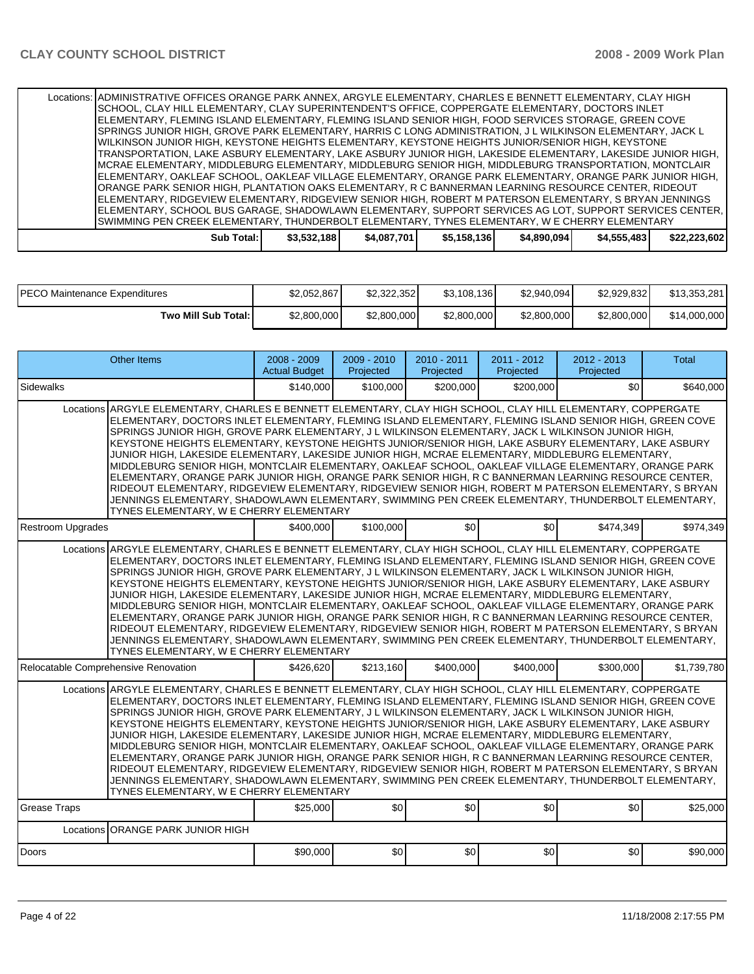| Locations: ADMINISTRATIVE OFFICES ORANGE PARK ANNEX, ARGYLE ELEMENTARY, CHARLES E BENNETT ELEMENTARY, CLAY HIGH |             |             |             |             |             |              |
|-----------------------------------------------------------------------------------------------------------------|-------------|-------------|-------------|-------------|-------------|--------------|
| SCHOOL, CLAY HILL ELEMENTARY, CLAY SUPERINTENDENT'S OFFICE, COPPERGATE ELEMENTARY, DOCTORS INLET                |             |             |             |             |             |              |
| ELEMENTARY, FLEMING ISLAND ELEMENTARY, FLEMING ISLAND SENIOR HIGH, FOOD SERVICES STORAGE, GREEN COVE            |             |             |             |             |             |              |
| ISPRINGS JUNIOR HIGH, GROVE PARK ELEMENTARY, HARRIS C LONG ADMINISTRATION, J L WILKINSON ELEMENTARY, JACK L     |             |             |             |             |             |              |
| WILKINSON JUNIOR HIGH, KEYSTONE HEIGHTS ELEMENTARY, KEYSTONE HEIGHTS JUNIOR/SENIOR HIGH, KEYSTONE               |             |             |             |             |             |              |
| TRANSPORTATION, LAKE ASBURY ELEMENTARY, LAKE ASBURY JUNIOR HIGH, LAKESIDE ELEMENTARY, LAKESIDE JUNIOR HIGH,     |             |             |             |             |             |              |
| IMCRAE ELEMENTARY, MIDDLEBURG ELEMENTARY, MIDDLEBURG SENIOR HIGH, MIDDLEBURG TRANSPORTATION, MONTCLAIR          |             |             |             |             |             |              |
| ELEMENTARY, OAKLEAF SCHOOL, OAKLEAF VILLAGE ELEMENTARY, ORANGE PARK ELEMENTARY, ORANGE PARK JUNIOR HIGH,        |             |             |             |             |             |              |
| ORANGE PARK SENIOR HIGH, PLANTATION OAKS ELEMENTARY, R C BANNERMAN LEARNING RESOURCE CENTER, RIDEOUT            |             |             |             |             |             |              |
| ELEMENTARY, RIDGEVIEW ELEMENTARY, RIDGEVIEW SENIOR HIGH, ROBERT M PATERSON ELEMENTARY. S BRYAN JENNINGS         |             |             |             |             |             |              |
| ELEMENTARY, SCHOOL BUS GARAGE, SHADOWLAWN ELEMENTARY, SUPPORT SERVICES AG LOT, SUPPORT SERVICES CENTER,         |             |             |             |             |             |              |
| SWIMMING PEN CREEK ELEMENTARY, THUNDERBOLT ELEMENTARY, TYNES ELEMENTARY, W E CHERRY ELEMENTARY                  |             |             |             |             |             |              |
| Sub Total:                                                                                                      | \$3,532,188 | \$4,087,701 | \$5,158,136 | \$4,890,094 | \$4,555,483 | \$22.223.602 |

| IPECO Maintenance Expenditures | \$2,052,867 | \$2,322,352 | \$3,108,136 | \$2,940,094] | \$2,929,832 | \$13,353,281 |
|--------------------------------|-------------|-------------|-------------|--------------|-------------|--------------|
| Two Mill Sub Total: I          | \$2,800,000 | \$2,800,000 | \$2,800,000 | \$2,800,000  | \$2,800,000 | \$14,000,000 |

|                                                                                                                                                                                                                                                                                                                                                                                                                                                                                                                                                                                                                                                                                                                                                                                                                                                                                                                                                                                                                           | <b>Other Items</b>                                                                                                                                                                                                                                                                                                                                                                                                                                                                                                                                                                                                                                                                                                                                                                                                                                                                                                                                                                                                        | $2008 - 2009$<br><b>Actual Budget</b> | $2009 - 2010$<br>Projected | 2010 - 2011<br>Projected | $2011 - 2012$<br>Projected | $2012 - 2013$<br>Projected | <b>Total</b> |
|---------------------------------------------------------------------------------------------------------------------------------------------------------------------------------------------------------------------------------------------------------------------------------------------------------------------------------------------------------------------------------------------------------------------------------------------------------------------------------------------------------------------------------------------------------------------------------------------------------------------------------------------------------------------------------------------------------------------------------------------------------------------------------------------------------------------------------------------------------------------------------------------------------------------------------------------------------------------------------------------------------------------------|---------------------------------------------------------------------------------------------------------------------------------------------------------------------------------------------------------------------------------------------------------------------------------------------------------------------------------------------------------------------------------------------------------------------------------------------------------------------------------------------------------------------------------------------------------------------------------------------------------------------------------------------------------------------------------------------------------------------------------------------------------------------------------------------------------------------------------------------------------------------------------------------------------------------------------------------------------------------------------------------------------------------------|---------------------------------------|----------------------------|--------------------------|----------------------------|----------------------------|--------------|
| Sidewalks                                                                                                                                                                                                                                                                                                                                                                                                                                                                                                                                                                                                                                                                                                                                                                                                                                                                                                                                                                                                                 |                                                                                                                                                                                                                                                                                                                                                                                                                                                                                                                                                                                                                                                                                                                                                                                                                                                                                                                                                                                                                           | \$140.000                             | \$100,000                  | \$200,000                | \$200.000                  | \$0                        | \$640.000    |
|                                                                                                                                                                                                                                                                                                                                                                                                                                                                                                                                                                                                                                                                                                                                                                                                                                                                                                                                                                                                                           | Locations ARGYLE ELEMENTARY, CHARLES E BENNETT ELEMENTARY, CLAY HIGH SCHOOL, CLAY HILL ELEMENTARY, COPPERGATE<br>ELEMENTARY, DOCTORS INLET ELEMENTARY, FLEMING ISLAND ELEMENTARY, FLEMING ISLAND SENIOR HIGH, GREEN COVE<br>SPRINGS JUNIOR HIGH, GROVE PARK ELEMENTARY, J L WILKINSON ELEMENTARY, JACK L WILKINSON JUNIOR HIGH,<br>KEYSTONE HEIGHTS ELEMENTARY, KEYSTONE HEIGHTS JUNIOR/SENIOR HIGH, LAKE ASBURY ELEMENTARY, LAKE ASBURY<br>JUNIOR HIGH, LAKESIDE ELEMENTARY, LAKESIDE JUNIOR HIGH, MCRAE ELEMENTARY, MIDDLEBURG ELEMENTARY,<br>MIDDLEBURG SENIOR HIGH, MONTCLAIR ELEMENTARY, OAKLEAF SCHOOL, OAKLEAF VILLAGE ELEMENTARY, ORANGE PARK<br>ELEMENTARY, ORANGE PARK JUNIOR HIGH, ORANGE PARK SENIOR HIGH, R C BANNERMAN LEARNING RESOURCE CENTER,<br>RIDEOUT ELEMENTARY, RIDGEVIEW ELEMENTARY, RIDGEVIEW SENIOR HIGH, ROBERT M PATERSON ELEMENTARY, S BRYAN<br>JENNINGS ELEMENTARY, SHADOWLAWN ELEMENTARY, SWIMMING PEN CREEK ELEMENTARY, THUNDERBOLT ELEMENTARY,<br>TYNES ELEMENTARY, W E CHERRY ELEMENTARY |                                       |                            |                          |                            |                            |              |
| <b>Restroom Upgrades</b>                                                                                                                                                                                                                                                                                                                                                                                                                                                                                                                                                                                                                                                                                                                                                                                                                                                                                                                                                                                                  |                                                                                                                                                                                                                                                                                                                                                                                                                                                                                                                                                                                                                                                                                                                                                                                                                                                                                                                                                                                                                           | \$400,000                             | \$100,000                  | \$0                      | \$0                        | \$474.349                  | \$974.349    |
|                                                                                                                                                                                                                                                                                                                                                                                                                                                                                                                                                                                                                                                                                                                                                                                                                                                                                                                                                                                                                           | Locations ARGYLE ELEMENTARY, CHARLES E BENNETT ELEMENTARY, CLAY HIGH SCHOOL, CLAY HILL ELEMENTARY, COPPERGATE<br>ELEMENTARY, DOCTORS INLET ELEMENTARY, FLEMING ISLAND ELEMENTARY, FLEMING ISLAND SENIOR HIGH, GREEN COVE<br>SPRINGS JUNIOR HIGH, GROVE PARK ELEMENTARY, J L WILKINSON ELEMENTARY, JACK L WILKINSON JUNIOR HIGH,<br>KEYSTONE HEIGHTS ELEMENTARY, KEYSTONE HEIGHTS JUNIOR/SENIOR HIGH, LAKE ASBURY ELEMENTARY, LAKE ASBURY<br>JUNIOR HIGH, LAKESIDE ELEMENTARY, LAKESIDE JUNIOR HIGH, MCRAE ELEMENTARY, MIDDLEBURG ELEMENTARY,<br>MIDDLEBURG SENIOR HIGH, MONTCLAIR ELEMENTARY, OAKLEAF SCHOOL, OAKLEAF VILLAGE ELEMENTARY, ORANGE PARK<br>ELEMENTARY, ORANGE PARK JUNIOR HIGH, ORANGE PARK SENIOR HIGH, R C BANNERMAN LEARNING RESOURCE CENTER,<br>RIDEOUT ELEMENTARY, RIDGEVIEW ELEMENTARY, RIDGEVIEW SENIOR HIGH, ROBERT M PATERSON ELEMENTARY, S BRYAN<br>JENNINGS ELEMENTARY, SHADOWLAWN ELEMENTARY, SWIMMING PEN CREEK ELEMENTARY, THUNDERBOLT ELEMENTARY,<br>TYNES ELEMENTARY, W E CHERRY ELEMENTARY |                                       |                            |                          |                            |                            |              |
|                                                                                                                                                                                                                                                                                                                                                                                                                                                                                                                                                                                                                                                                                                                                                                                                                                                                                                                                                                                                                           | Relocatable Comprehensive Renovation                                                                                                                                                                                                                                                                                                                                                                                                                                                                                                                                                                                                                                                                                                                                                                                                                                                                                                                                                                                      | \$426.620                             | \$213.160                  | \$400,000                | \$400,000                  | \$300,000                  | \$1.739.780  |
| Locations ARGYLE ELEMENTARY, CHARLES E BENNETT ELEMENTARY, CLAY HIGH SCHOOL, CLAY HILL ELEMENTARY, COPPERGATE<br>ELEMENTARY, DOCTORS INLET ELEMENTARY, FLEMING ISLAND ELEMENTARY, FLEMING ISLAND SENIOR HIGH, GREEN COVE<br>SPRINGS JUNIOR HIGH, GROVE PARK ELEMENTARY, J L WILKINSON ELEMENTARY, JACK L WILKINSON JUNIOR HIGH,<br>KEYSTONE HEIGHTS ELEMENTARY, KEYSTONE HEIGHTS JUNIOR/SENIOR HIGH, LAKE ASBURY ELEMENTARY, LAKE ASBURY<br>JUNIOR HIGH, LAKESIDE ELEMENTARY, LAKESIDE JUNIOR HIGH, MCRAE ELEMENTARY, MIDDLEBURG ELEMENTARY,<br>MIDDLEBURG SENIOR HIGH, MONTCLAIR ELEMENTARY, OAKLEAF SCHOOL, OAKLEAF VILLAGE ELEMENTARY, ORANGE PARK<br>ELEMENTARY, ORANGE PARK JUNIOR HIGH, ORANGE PARK SENIOR HIGH, R C BANNERMAN LEARNING RESOURCE CENTER,<br>RIDEOUT ELEMENTARY, RIDGEVIEW ELEMENTARY, RIDGEVIEW SENIOR HIGH, ROBERT M PATERSON ELEMENTARY, S BRYAN<br>JENNINGS ELEMENTARY, SHADOWLAWN ELEMENTARY, SWIMMING PEN CREEK ELEMENTARY, THUNDERBOLT ELEMENTARY,<br>TYNES ELEMENTARY, W E CHERRY ELEMENTARY |                                                                                                                                                                                                                                                                                                                                                                                                                                                                                                                                                                                                                                                                                                                                                                                                                                                                                                                                                                                                                           |                                       |                            |                          |                            |                            |              |
| <b>Grease Traps</b>                                                                                                                                                                                                                                                                                                                                                                                                                                                                                                                                                                                                                                                                                                                                                                                                                                                                                                                                                                                                       |                                                                                                                                                                                                                                                                                                                                                                                                                                                                                                                                                                                                                                                                                                                                                                                                                                                                                                                                                                                                                           | \$25,000                              | \$0                        | \$0                      | \$0                        | \$0                        | \$25,000     |
|                                                                                                                                                                                                                                                                                                                                                                                                                                                                                                                                                                                                                                                                                                                                                                                                                                                                                                                                                                                                                           | Locations ORANGE PARK JUNIOR HIGH                                                                                                                                                                                                                                                                                                                                                                                                                                                                                                                                                                                                                                                                                                                                                                                                                                                                                                                                                                                         |                                       |                            |                          |                            |                            |              |
| Doors                                                                                                                                                                                                                                                                                                                                                                                                                                                                                                                                                                                                                                                                                                                                                                                                                                                                                                                                                                                                                     |                                                                                                                                                                                                                                                                                                                                                                                                                                                                                                                                                                                                                                                                                                                                                                                                                                                                                                                                                                                                                           | \$90,000                              | \$0                        | \$0                      | \$0                        | \$0                        | \$90,000     |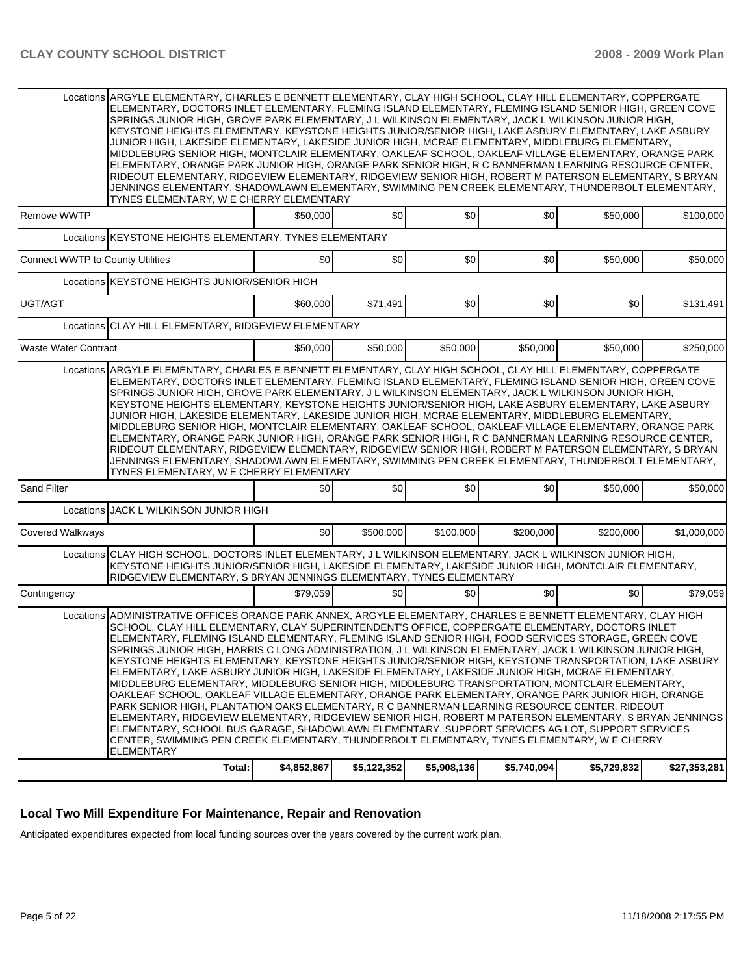|                                         | Locations ARGYLE ELEMENTARY, CHARLES E BENNETT ELEMENTARY, CLAY HIGH SCHOOL, CLAY HILL ELEMENTARY, COPPERGATE<br>ELEMENTARY, DOCTORS INLET ELEMENTARY, FLEMING ISLAND ELEMENTARY, FLEMING ISLAND SENIOR HIGH, GREEN COVE<br>SPRINGS JUNIOR HIGH, GROVE PARK ELEMENTARY, J L WILKINSON ELEMENTARY, JACK L WILKINSON JUNIOR HIGH.<br>KEYSTONE HEIGHTS ELEMENTARY, KEYSTONE HEIGHTS JUNIOR/SENIOR HIGH, LAKE ASBURY ELEMENTARY, LAKE ASBURY<br>JUNIOR HIGH, LAKESIDE ELEMENTARY, LAKESIDE JUNIOR HIGH, MCRAE ELEMENTARY, MIDDLEBURG ELEMENTARY,<br>MIDDLEBURG SENIOR HIGH, MONTCLAIR ELEMENTARY, OAKLEAF SCHOOL, OAKLEAF VILLAGE ELEMENTARY, ORANGE PARK<br>ELEMENTARY, ORANGE PARK JUNIOR HIGH, ORANGE PARK SENIOR HIGH, R C BANNERMAN LEARNING RESOURCE CENTER,<br>RIDEOUT ELEMENTARY, RIDGEVIEW ELEMENTARY, RIDGEVIEW SENIOR HIGH, ROBERT M PATERSON ELEMENTARY, S BRYAN<br>JENNINGS ELEMENTARY, SHADOWLAWN ELEMENTARY, SWIMMING PEN CREEK ELEMENTARY, THUNDERBOLT ELEMENTARY,<br>TYNES ELEMENTARY, W E CHERRY ELEMENTARY                                                                                                                                                                                                                                                                     |             |                  |             |             |             |              |
|-----------------------------------------|-----------------------------------------------------------------------------------------------------------------------------------------------------------------------------------------------------------------------------------------------------------------------------------------------------------------------------------------------------------------------------------------------------------------------------------------------------------------------------------------------------------------------------------------------------------------------------------------------------------------------------------------------------------------------------------------------------------------------------------------------------------------------------------------------------------------------------------------------------------------------------------------------------------------------------------------------------------------------------------------------------------------------------------------------------------------------------------------------------------------------------------------------------------------------------------------------------------------------------------------------------------------------------------------------|-------------|------------------|-------------|-------------|-------------|--------------|
| Remove WWTP                             |                                                                                                                                                                                                                                                                                                                                                                                                                                                                                                                                                                                                                                                                                                                                                                                                                                                                                                                                                                                                                                                                                                                                                                                                                                                                                               | \$50,000    | \$0              | \$0         | \$0         | \$50,000    | \$100,000    |
|                                         | Locations KEYSTONE HEIGHTS ELEMENTARY, TYNES ELEMENTARY                                                                                                                                                                                                                                                                                                                                                                                                                                                                                                                                                                                                                                                                                                                                                                                                                                                                                                                                                                                                                                                                                                                                                                                                                                       |             |                  |             |             |             |              |
| <b>Connect WWTP to County Utilities</b> |                                                                                                                                                                                                                                                                                                                                                                                                                                                                                                                                                                                                                                                                                                                                                                                                                                                                                                                                                                                                                                                                                                                                                                                                                                                                                               | \$0         | \$0              | \$0         | \$0         | \$50,000    | \$50,000     |
|                                         | Locations KEYSTONE HEIGHTS JUNIOR/SENIOR HIGH                                                                                                                                                                                                                                                                                                                                                                                                                                                                                                                                                                                                                                                                                                                                                                                                                                                                                                                                                                                                                                                                                                                                                                                                                                                 |             |                  |             |             |             |              |
| UGT/AGT                                 |                                                                                                                                                                                                                                                                                                                                                                                                                                                                                                                                                                                                                                                                                                                                                                                                                                                                                                                                                                                                                                                                                                                                                                                                                                                                                               | \$60,000    | \$71,491         | \$0         | \$0         | \$0         | \$131,491    |
|                                         | Locations CLAY HILL ELEMENTARY, RIDGEVIEW ELEMENTARY                                                                                                                                                                                                                                                                                                                                                                                                                                                                                                                                                                                                                                                                                                                                                                                                                                                                                                                                                                                                                                                                                                                                                                                                                                          |             |                  |             |             |             |              |
| <b>Waste Water Contract</b>             |                                                                                                                                                                                                                                                                                                                                                                                                                                                                                                                                                                                                                                                                                                                                                                                                                                                                                                                                                                                                                                                                                                                                                                                                                                                                                               | \$50,000    | \$50,000         | \$50,000    | \$50,000    | \$50,000    | \$250,000    |
|                                         | Locations ARGYLE ELEMENTARY, CHARLES E BENNETT ELEMENTARY, CLAY HIGH SCHOOL, CLAY HILL ELEMENTARY, COPPERGATE<br>ELEMENTARY, DOCTORS INLET ELEMENTARY, FLEMING ISLAND ELEMENTARY, FLEMING ISLAND SENIOR HIGH, GREEN COVE<br>SPRINGS JUNIOR HIGH, GROVE PARK ELEMENTARY, J L WILKINSON ELEMENTARY, JACK L WILKINSON JUNIOR HIGH,<br>KEYSTONE HEIGHTS ELEMENTARY, KEYSTONE HEIGHTS JUNIOR/SENIOR HIGH, LAKE ASBURY ELEMENTARY, LAKE ASBURY<br>JUNIOR HIGH, LAKESIDE ELEMENTARY, LAKESIDE JUNIOR HIGH, MCRAE ELEMENTARY, MIDDLEBURG ELEMENTARY,<br>MIDDLEBURG SENIOR HIGH, MONTCLAIR ELEMENTARY, OAKLEAF SCHOOL, OAKLEAF VILLAGE ELEMENTARY, ORANGE PARK<br>ELEMENTARY, ORANGE PARK JUNIOR HIGH, ORANGE PARK SENIOR HIGH, R C BANNERMAN LEARNING RESOURCE CENTER,<br>RIDEOUT ELEMENTARY, RIDGEVIEW ELEMENTARY, RIDGEVIEW SENIOR HIGH, ROBERT M PATERSON ELEMENTARY, S BRYAN<br>JENNINGS ELEMENTARY, SHADOWLAWN ELEMENTARY, SWIMMING PEN CREEK ELEMENTARY, THUNDERBOLT ELEMENTARY,<br>TYNES ELEMENTARY, W E CHERRY ELEMENTARY                                                                                                                                                                                                                                                                     |             |                  |             |             |             |              |
| <b>Sand Filter</b>                      |                                                                                                                                                                                                                                                                                                                                                                                                                                                                                                                                                                                                                                                                                                                                                                                                                                                                                                                                                                                                                                                                                                                                                                                                                                                                                               | \$0         | \$0              | \$0         | \$0         | \$50,000    | \$50,000     |
|                                         | Locations JACK L WILKINSON JUNIOR HIGH                                                                                                                                                                                                                                                                                                                                                                                                                                                                                                                                                                                                                                                                                                                                                                                                                                                                                                                                                                                                                                                                                                                                                                                                                                                        |             |                  |             |             |             |              |
| <b>Covered Walkways</b>                 |                                                                                                                                                                                                                                                                                                                                                                                                                                                                                                                                                                                                                                                                                                                                                                                                                                                                                                                                                                                                                                                                                                                                                                                                                                                                                               | \$0         | \$500,000        | \$100,000   | \$200,000   | \$200,000   | \$1,000,000  |
|                                         | Locations CLAY HIGH SCHOOL, DOCTORS INLET ELEMENTARY, J L WILKINSON ELEMENTARY, JACK L WILKINSON JUNIOR HIGH,<br>KEYSTONE HEIGHTS JUNIOR/SENIOR HIGH, LAKESIDE ELEMENTARY, LAKESIDE JUNIOR HIGH, MONTCLAIR ELEMENTARY,<br>RIDGEVIEW ELEMENTARY, S BRYAN JENNINGS ELEMENTARY, TYNES ELEMENTARY                                                                                                                                                                                                                                                                                                                                                                                                                                                                                                                                                                                                                                                                                                                                                                                                                                                                                                                                                                                                 |             |                  |             |             |             |              |
| Contingency                             |                                                                                                                                                                                                                                                                                                                                                                                                                                                                                                                                                                                                                                                                                                                                                                                                                                                                                                                                                                                                                                                                                                                                                                                                                                                                                               | \$79.059    | \$0 <sub>1</sub> | \$0         | \$0         | \$0         | \$79,059     |
|                                         | Locations ADMINISTRATIVE OFFICES ORANGE PARK ANNEX, ARGYLE ELEMENTARY, CHARLES E BENNETT ELEMENTARY, CLAY HIGH<br>SCHOOL, CLAY HILL ELEMENTARY, CLAY SUPERINTENDENT'S OFFICE, COPPERGATE ELEMENTARY, DOCTORS INLET<br>ELEMENTARY, FLEMING ISLAND ELEMENTARY, FLEMING ISLAND SENIOR HIGH, FOOD SERVICES STORAGE, GREEN COVE<br>SPRINGS JUNIOR HIGH, HARRIS C LONG ADMINISTRATION, J L WILKINSON ELEMENTARY, JACK L WILKINSON JUNIOR HIGH,<br>KEYSTONE HEIGHTS ELEMENTARY, KEYSTONE HEIGHTS JUNIOR/SENIOR HIGH, KEYSTONE TRANSPORTATION, LAKE ASBURY<br>ELEMENTARY, LAKE ASBURY JUNIOR HIGH, LAKESIDE ELEMENTARY, LAKESIDE JUNIOR HIGH, MCRAE ELEMENTARY,<br>MIDDLEBURG ELEMENTARY, MIDDLEBURG SENIOR HIGH, MIDDLEBURG TRANSPORTATION, MONTCLAIR ELEMENTARY,<br>OAKLEAF SCHOOL, OAKLEAF VILLAGE ELEMENTARY, ORANGE PARK ELEMENTARY, ORANGE PARK JUNIOR HIGH, ORANGE<br>PARK SENIOR HIGH, PLANTATION OAKS ELEMENTARY, R C BANNERMAN LEARNING RESOURCE CENTER, RIDEOUT<br>ELEMENTARY, RIDGEVIEW ELEMENTARY, RIDGEVIEW SENIOR HIGH, ROBERT M PATERSON ELEMENTARY, S BRYAN JENNINGS<br>ELEMENTARY, SCHOOL BUS GARAGE, SHADOWLAWN ELEMENTARY, SUPPORT SERVICES AG LOT, SUPPORT SERVICES<br>CENTER, SWIMMING PEN CREEK ELEMENTARY, THUNDERBOLT ELEMENTARY, TYNES ELEMENTARY, W E CHERRY<br>ELEMENTARY |             |                  |             |             |             |              |
|                                         | Total:                                                                                                                                                                                                                                                                                                                                                                                                                                                                                                                                                                                                                                                                                                                                                                                                                                                                                                                                                                                                                                                                                                                                                                                                                                                                                        | \$4,852,867 | \$5,122,352      | \$5,908,136 | \$5,740,094 | \$5,729,832 | \$27,353,281 |

## **Local Two Mill Expenditure For Maintenance, Repair and Renovation**

Anticipated expenditures expected from local funding sources over the years covered by the current work plan.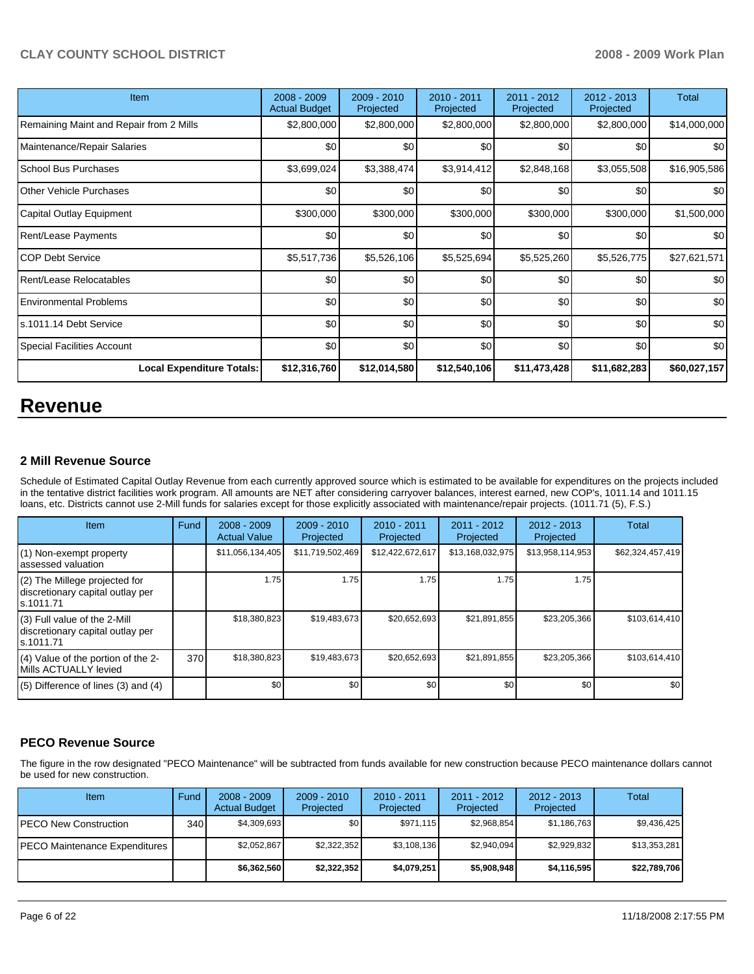| <b>Item</b>                             | $2008 - 2009$<br><b>Actual Budget</b> | $2009 - 2010$<br>Projected | 2010 - 2011<br>Projected | 2011 - 2012<br>Projected | 2012 - 2013<br>Projected | Total        |
|-----------------------------------------|---------------------------------------|----------------------------|--------------------------|--------------------------|--------------------------|--------------|
| Remaining Maint and Repair from 2 Mills | \$2,800,000                           | \$2,800,000                | \$2,800,000              | \$2,800,000              | \$2,800,000              | \$14,000,000 |
| Maintenance/Repair Salaries             | \$0                                   | \$0                        | \$0                      | \$0                      | \$0                      | \$0          |
| School Bus Purchases                    | \$3,699,024                           | \$3,388,474                | \$3,914,412              | \$2,848,168              | \$3,055,508              | \$16,905,586 |
| <b>Other Vehicle Purchases</b>          | \$0 <sub>1</sub>                      | \$0                        | \$0                      | \$0                      | \$0                      | \$0          |
| Capital Outlay Equipment                | \$300,000                             | \$300,000                  | \$300,000                | \$300,000                | \$300,000                | \$1,500,000  |
| Rent/Lease Payments                     | \$0                                   | \$0                        | \$0                      | \$0                      | \$0                      | \$0          |
| ICOP Debt Service                       | \$5,517,736                           | \$5,526,106                | \$5,525,694              | \$5,525,260              | \$5,526,775              | \$27,621,571 |
| Rent/Lease Relocatables                 | \$0                                   | \$0                        | \$0                      | \$0                      | \$0                      | \$0          |
| <b>Environmental Problems</b>           | \$0                                   | \$0                        | \$0                      | \$0                      | \$0                      | \$0          |
| ls.1011.14 Debt Service                 | \$0 <sub>1</sub>                      | \$0                        | \$0                      | \$0                      | \$0                      | \$0          |
| Special Facilities Account              | \$0                                   | \$0                        | \$0                      | \$0                      | \$0                      | \$0          |
| <b>Local Expenditure Totals:</b>        | \$12,316,760                          | \$12,014,580               | \$12,540,106             | \$11,473,428             | \$11,682,283             | \$60,027,157 |

# **Revenue**

## **2 Mill Revenue Source**

Schedule of Estimated Capital Outlay Revenue from each currently approved source which is estimated to be available for expenditures on the projects included in the tentative district facilities work program. All amounts are NET after considering carryover balances, interest earned, new COP's, 1011.14 and 1011.15 loans, etc. Districts cannot use 2-Mill funds for salaries except for those explicitly associated with maintenance/repair projects. (1011.71 (5), F.S.)

| <b>Item</b>                                                                       | Fund | $2008 - 2009$<br><b>Actual Value</b> | $2009 - 2010$<br>Projected | $2010 - 2011$<br>Projected | 2011 - 2012<br>Projected | $2012 - 2013$<br>Projected | <b>Total</b>     |
|-----------------------------------------------------------------------------------|------|--------------------------------------|----------------------------|----------------------------|--------------------------|----------------------------|------------------|
| (1) Non-exempt property<br>assessed valuation                                     |      | \$11,056,134,405                     | \$11,719,502,469           | \$12,422,672,617           | \$13,168,032,975         | \$13,958,114,953           | \$62,324,457,419 |
| $(2)$ The Millege projected for<br>discretionary capital outlay per<br>ls.1011.71 |      | 1.75                                 | 1.75                       | 1.75                       | 1.75                     | 1.75                       |                  |
| $(3)$ Full value of the 2-Mill<br>discretionary capital outlay per<br>ls.1011.71  |      | \$18,380,823                         | \$19,483,673               | \$20,652,693               | \$21,891,855             | \$23,205,366               | \$103,614,410    |
| (4) Value of the portion of the 2-<br>Mills ACTUALLY levied                       | 370  | \$18,380,823                         | \$19,483,673               | \$20,652,693               | \$21,891,855             | \$23,205,366               | \$103,614,410    |
| $(5)$ Difference of lines (3) and (4)                                             |      | \$0                                  | \$0                        | \$0                        | \$0                      | \$0                        | \$0              |

# **PECO Revenue Source**

The figure in the row designated "PECO Maintenance" will be subtracted from funds available for new construction because PECO maintenance dollars cannot be used for new construction.

| Item                                    | Fund             | $2008 - 2009$<br><b>Actual Budget</b> | $2009 - 2010$<br>Projected | $2010 - 2011$<br>Projected | $2011 - 2012$<br>Projected | $2012 - 2013$<br>Projected | Total        |
|-----------------------------------------|------------------|---------------------------------------|----------------------------|----------------------------|----------------------------|----------------------------|--------------|
| IPECO New Construction                  | 340 <sup>1</sup> | \$4,309,693                           | \$0                        | \$971.115                  | \$2.968.854                | \$1,186,763                | \$9,436,425  |
| <b>IPECO Maintenance Expenditures I</b> |                  | \$2.052.867                           | \$2,322,352                | \$3,108,136                | \$2.940.094                | \$2,929,832                | \$13,353,281 |
|                                         |                  | \$6,362,560                           | \$2,322,352                | \$4,079,251                | \$5,908,948                | \$4,116,595                | \$22,789,706 |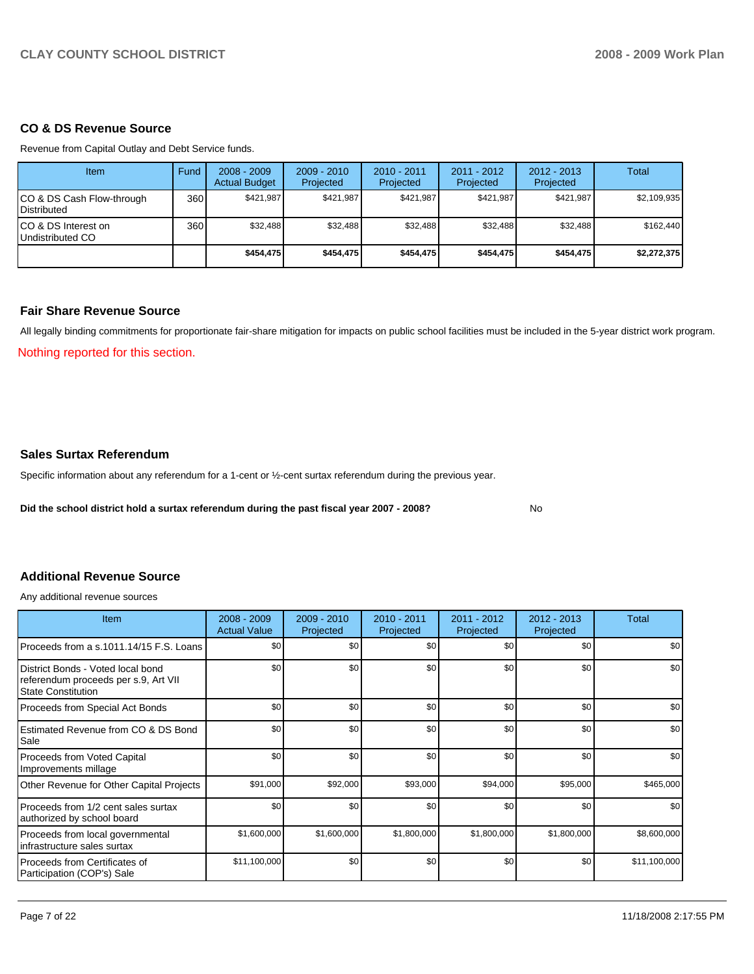## **CO & DS Revenue Source**

Revenue from Capital Outlay and Debt Service funds.

| <b>Item</b>                              | Fund  | $2008 - 2009$<br><b>Actual Budget</b> | $2009 - 2010$<br>Projected | $2010 - 2011$<br>Projected | $2011 - 2012$<br>Projected | $2012 - 2013$<br>Projected | Total       |
|------------------------------------------|-------|---------------------------------------|----------------------------|----------------------------|----------------------------|----------------------------|-------------|
| CO & DS Cash Flow-through<br>Distributed | 360 l | \$421.987                             | \$421.987                  | \$421.987                  | \$421.987                  | \$421.987                  | \$2,109,935 |
| CO & DS Interest on<br>Undistributed CO  | 360 l | \$32.488                              | \$32.488                   | \$32.488                   | \$32.488                   | \$32.488                   | \$162,440   |
|                                          |       | \$454.475                             | \$454.475                  | \$454,475                  | \$454,475                  | \$454,475                  | \$2,272,375 |

### **Fair Share Revenue Source**

All legally binding commitments for proportionate fair-share mitigation for impacts on public school facilities must be included in the 5-year district work program.

Nothing reported for this section.

### **Sales Surtax Referendum**

Specific information about any referendum for a 1-cent or ½-cent surtax referendum during the previous year.

**Did the school district hold a surtax referendum during the past fiscal year 2007 - 2008?** No

# **Additional Revenue Source**

Any additional revenue sources

| <b>Item</b>                                                                                            | $2008 - 2009$<br><b>Actual Value</b> | $2009 - 2010$<br>Projected | $2010 - 2011$<br>Projected | 2011 - 2012<br>Projected | $2012 - 2013$<br>Projected | Total        |
|--------------------------------------------------------------------------------------------------------|--------------------------------------|----------------------------|----------------------------|--------------------------|----------------------------|--------------|
| Proceeds from a s.1011.14/15 F.S. Loans                                                                | \$0                                  | \$0                        | \$0                        | \$0                      | \$0                        | \$0          |
| District Bonds - Voted local bond<br>referendum proceeds per s.9, Art VII<br><b>State Constitution</b> | \$0                                  | \$0                        | \$0                        | \$0                      | \$0                        | \$0          |
| Proceeds from Special Act Bonds                                                                        | \$0                                  | \$0                        | \$0                        | \$0                      | \$0                        | \$0          |
| Estimated Revenue from CO & DS Bond<br>Sale                                                            | \$0                                  | \$0                        | \$0                        | \$0                      | \$0                        | \$0          |
| Proceeds from Voted Capital<br>Improvements millage                                                    | \$0                                  | \$0                        | \$0                        | \$0                      | \$0                        | \$0          |
| Other Revenue for Other Capital Projects                                                               | \$91,000                             | \$92,000                   | \$93,000                   | \$94,000                 | \$95,000                   | \$465,000    |
| Proceeds from 1/2 cent sales surtax<br>authorized by school board                                      | \$0                                  | \$0                        | \$0                        | \$0                      | \$0                        | \$0          |
| Proceeds from local governmental<br>infrastructure sales surtax                                        | \$1,600,000                          | \$1,600,000                | \$1,800,000                | \$1,800,000              | \$1,800,000                | \$8,600,000  |
| l Proceeds from Certificates of<br>Participation (COP's) Sale                                          | \$11,100,000                         | \$0                        | \$0                        | \$0                      | \$0                        | \$11,100,000 |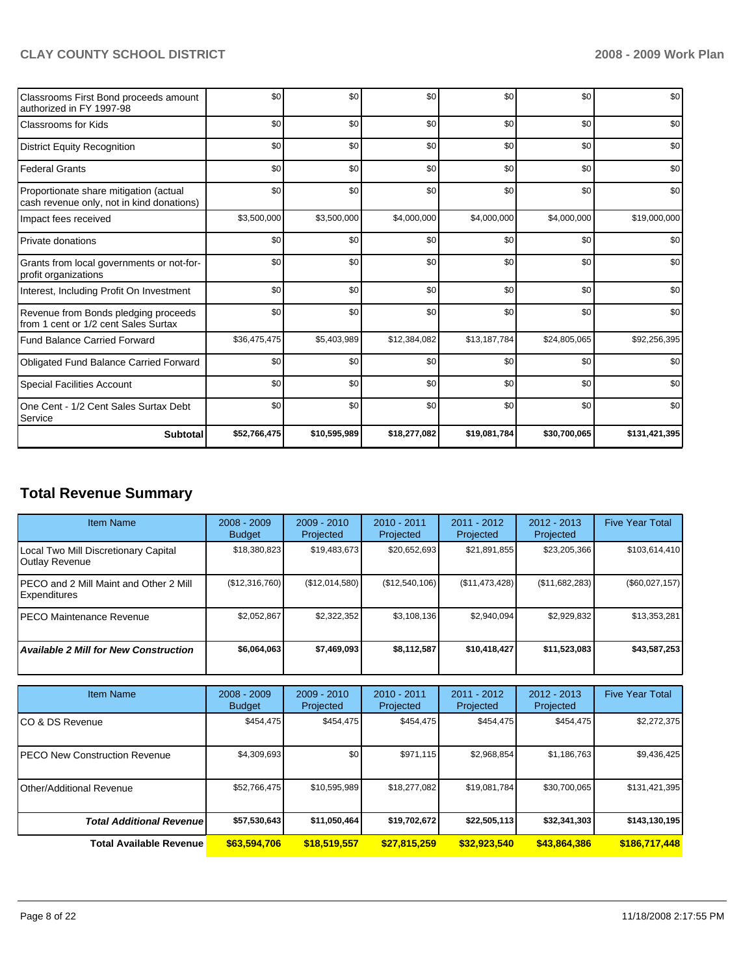| Classrooms First Bond proceeds amount<br>authorized in FY 1997-98                   | \$0          | \$0          | \$0          | \$0          | \$0          | \$0           |
|-------------------------------------------------------------------------------------|--------------|--------------|--------------|--------------|--------------|---------------|
| Classrooms for Kids                                                                 | \$0          | \$0          | \$0          | \$0          | \$0          | \$0           |
| <b>District Equity Recognition</b>                                                  | \$0          | \$0          | \$0          | \$0          | \$0          | \$0           |
| Federal Grants                                                                      | \$0          | \$0          | \$0          | \$0          | \$0          | \$0           |
| Proportionate share mitigation (actual<br>cash revenue only, not in kind donations) | \$0          | \$0          | \$0          | \$0          | \$0          | \$0           |
| Impact fees received                                                                | \$3,500,000  | \$3,500,000  | \$4,000,000  | \$4,000,000  | \$4,000,000  | \$19,000,000  |
| Private donations                                                                   | \$0          | \$0          | \$0          | \$0          | \$0          | \$0           |
| Grants from local governments or not-for-<br>profit organizations                   | \$0          | \$0          | \$0          | \$0          | \$0          | \$0           |
| Interest, Including Profit On Investment                                            | \$0          | \$0          | \$0          | \$0          | \$0          | \$0           |
| Revenue from Bonds pledging proceeds<br>from 1 cent or 1/2 cent Sales Surtax        | \$0          | \$0          | \$0          | \$0          | \$0          | \$0           |
| <b>Fund Balance Carried Forward</b>                                                 | \$36,475,475 | \$5,403,989  | \$12,384,082 | \$13,187,784 | \$24,805,065 | \$92,256,395  |
| Obligated Fund Balance Carried Forward                                              | \$0          | \$0          | \$0          | \$0          | \$0          | \$0           |
| <b>Special Facilities Account</b>                                                   | \$0          | \$0          | \$0          | \$0          | \$0          | \$0           |
| One Cent - 1/2 Cent Sales Surtax Debt<br>Service                                    | \$0          | \$0          | \$0          | \$0          | \$0          | \$0           |
| <b>Subtotal</b>                                                                     | \$52,766,475 | \$10,595,989 | \$18,277,082 | \$19,081,784 | \$30,700,065 | \$131,421,395 |

# **Total Revenue Summary**

| <b>Item Name</b>                                               | $2008 - 2009$<br><b>Budget</b> | $2009 - 2010$<br>Projected | $2010 - 2011$<br>Projected | 2011 - 2012<br>Projected | $2012 - 2013$<br>Projected | <b>Five Year Total</b> |
|----------------------------------------------------------------|--------------------------------|----------------------------|----------------------------|--------------------------|----------------------------|------------------------|
| Local Two Mill Discretionary Capital<br>Outlay Revenue         | \$18,380,823                   | \$19,483,673               | \$20,652,693               | \$21,891,855             | \$23,205,366               | \$103,614,410          |
| IPECO and 2 Mill Maint and Other 2 Mill<br><b>Expenditures</b> | (\$12,316,760)                 | (\$12,014,580)             | (\$12,540,106)             | (\$11,473,428)           | (\$11,682,283)             | (\$60,027,157)         |
| IPECO Maintenance Revenue                                      | \$2,052,867                    | \$2,322,352                | \$3,108,136                | \$2,940,094              | \$2,929,832                | \$13,353,281           |
| <b>Available 2 Mill for New Construction</b>                   | \$6,064,063                    | \$7,469,093                | \$8,112,587                | \$10,418,427             | \$11,523,083               | \$43,587,253           |

| Item Name                             | $2008 - 2009$<br><b>Budget</b> | $2009 - 2010$<br>Projected | $2010 - 2011$<br>Projected | 2011 - 2012<br>Projected | 2012 - 2013<br>Projected | <b>Five Year Total</b> |
|---------------------------------------|--------------------------------|----------------------------|----------------------------|--------------------------|--------------------------|------------------------|
| ICO & DS Revenue                      | \$454,475                      | \$454,475                  | \$454,475                  | \$454,475                | \$454,475                | \$2,272,375            |
| <b>IPECO New Construction Revenue</b> | \$4,309,693                    | \$0                        | \$971,115                  | \$2,968,854              | \$1,186,763              | \$9,436,425            |
| IOther/Additional Revenue             | \$52,766,475                   | \$10,595,989               | \$18,277,082               | \$19,081,784             | \$30,700,065             | \$131,421,395          |
| <b>Total Additional Revenuel</b>      | \$57,530,643                   | \$11,050,464               | \$19,702,672               | \$22,505,113             | \$32,341,303             | \$143,130,195          |
| <b>Total Available Revenue</b>        | \$63,594,706                   | \$18,519,557               | \$27,815,259               | \$32,923,540             | \$43,864,386             | \$186,717,448          |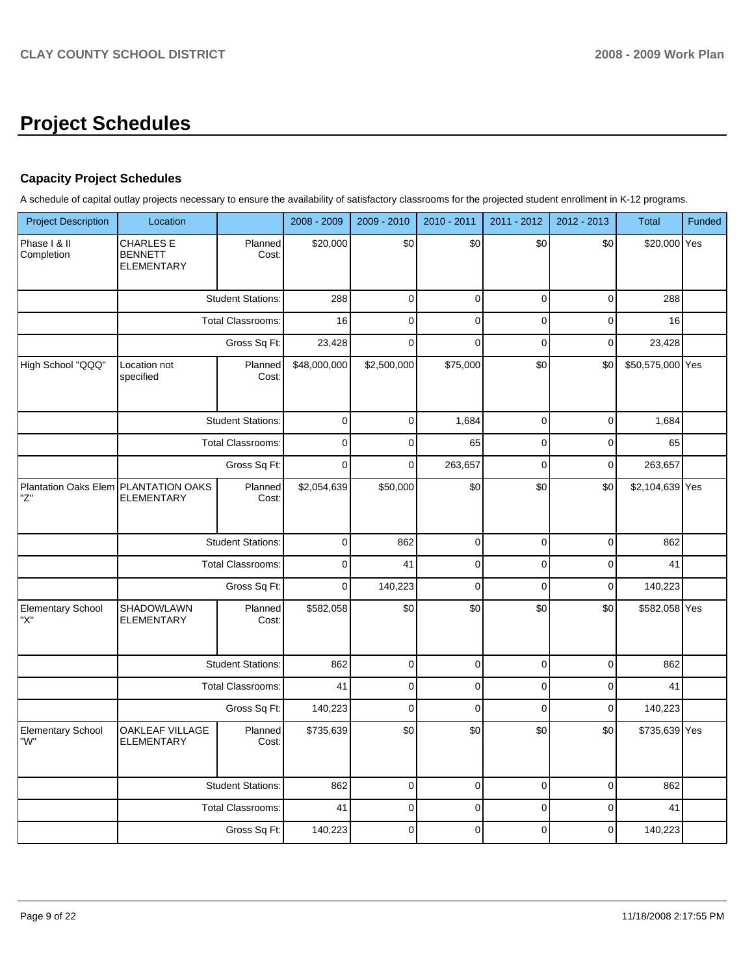# **Project Schedules**

# **Capacity Project Schedules**

A schedule of capital outlay projects necessary to ensure the availability of satisfactory classrooms for the projected student enrollment in K-12 programs.

| <b>Project Description</b>      | Location                                                  |                          | 2008 - 2009  | 2009 - 2010 | 2010 - 2011 | 2011 - 2012 | 2012 - 2013 | <b>Total</b>     | Funded |
|---------------------------------|-----------------------------------------------------------|--------------------------|--------------|-------------|-------------|-------------|-------------|------------------|--------|
| Phase I & II<br>Completion      | <b>CHARLES E</b><br><b>BENNETT</b><br><b>ELEMENTARY</b>   | Planned<br>Cost:         | \$20,000     | \$0         | \$0         | \$0         | \$0         | \$20,000 Yes     |        |
|                                 |                                                           | <b>Student Stations:</b> | 288          | $\mathbf 0$ | $\pmb{0}$   | $\mathbf 0$ | $\pmb{0}$   | 288              |        |
|                                 |                                                           | Total Classrooms:        | 16           | 0           | $\mathbf 0$ | $\mathbf 0$ | $\pmb{0}$   | 16               |        |
|                                 |                                                           | Gross Sq Ft:             | 23,428       | $\mathbf 0$ | $\mathbf 0$ | $\mathbf 0$ | $\mathbf 0$ | 23,428           |        |
| High School "QQQ"               | Location not<br>specified                                 | Planned<br>Cost:         | \$48,000,000 | \$2,500,000 | \$75,000    | \$0         | \$0         | \$50,575,000 Yes |        |
|                                 |                                                           | <b>Student Stations:</b> | $\pmb{0}$    | $\mathbf 0$ | 1,684       | $\mathbf 0$ | $\pmb{0}$   | 1,684            |        |
|                                 |                                                           | Total Classrooms:        | $\mathbf 0$  | $\mathbf 0$ | 65          | $\mathbf 0$ | $\pmb{0}$   | 65               |        |
|                                 |                                                           | Gross Sq Ft:             | $\mathbf 0$  | $\mathbf 0$ | 263,657     | $\mathbf 0$ | $\mathbf 0$ | 263,657          |        |
| "Z"                             | Plantation Oaks Elem PLANTATION OAKS<br><b>ELEMENTARY</b> | Planned<br>Cost:         | \$2,054,639  | \$50,000    | \$0         | \$0         | \$0         | \$2,104,639 Yes  |        |
|                                 |                                                           | <b>Student Stations:</b> | 0            | 862         | 0           | 0           | 0           | 862              |        |
|                                 |                                                           | Total Classrooms:        | $\mathbf 0$  | 41          | $\mathbf 0$ | $\pmb{0}$   | $\mathbf 0$ | 41               |        |
|                                 |                                                           | Gross Sq Ft:             | $\mathbf 0$  | 140,223     | $\mathbf 0$ | $\mathbf 0$ | $\mathbf 0$ | 140,223          |        |
| <b>Elementary School</b><br>"X" | SHADOWLAWN<br><b>ELEMENTARY</b>                           | Planned<br>Cost:         | \$582,058    | \$0         | \$0         | \$0         | \$0         | \$582,058 Yes    |        |
|                                 |                                                           | <b>Student Stations:</b> | 862          | $\pmb{0}$   | $\pmb{0}$   | $\pmb{0}$   | $\pmb{0}$   | 862              |        |
|                                 |                                                           | Total Classrooms:        | 41           | $\mathsf 0$ | $\mathbf 0$ | $\pmb{0}$   | $\mathbf 0$ | 41               |        |
|                                 |                                                           | Gross Sq Ft:             | 140,223      | $\mathbf 0$ | $\mathbf 0$ | $\mathbf 0$ | $\mathbf 0$ | 140,223          |        |
| <b>Elementary School</b><br>"W" | OAKLEAF VILLAGE<br><b>ELEMENTARY</b>                      | Planned<br>Cost:         | \$735,639    | \$0         | \$0         | \$0         | \$0         | \$735,639 Yes    |        |
|                                 |                                                           | <b>Student Stations:</b> | 862          | 0           | $\pmb{0}$   | 0           | $\mathbf 0$ | 862              |        |
|                                 |                                                           | <b>Total Classrooms:</b> | 41           | $\mathsf 0$ | $\pmb{0}$   | $\pmb{0}$   | $\pmb{0}$   | 41               |        |
|                                 |                                                           | Gross Sq Ft:             | 140,223      | $\mathsf 0$ | $\pmb{0}$   | $\pmb{0}$   | $\pmb{0}$   | 140,223          |        |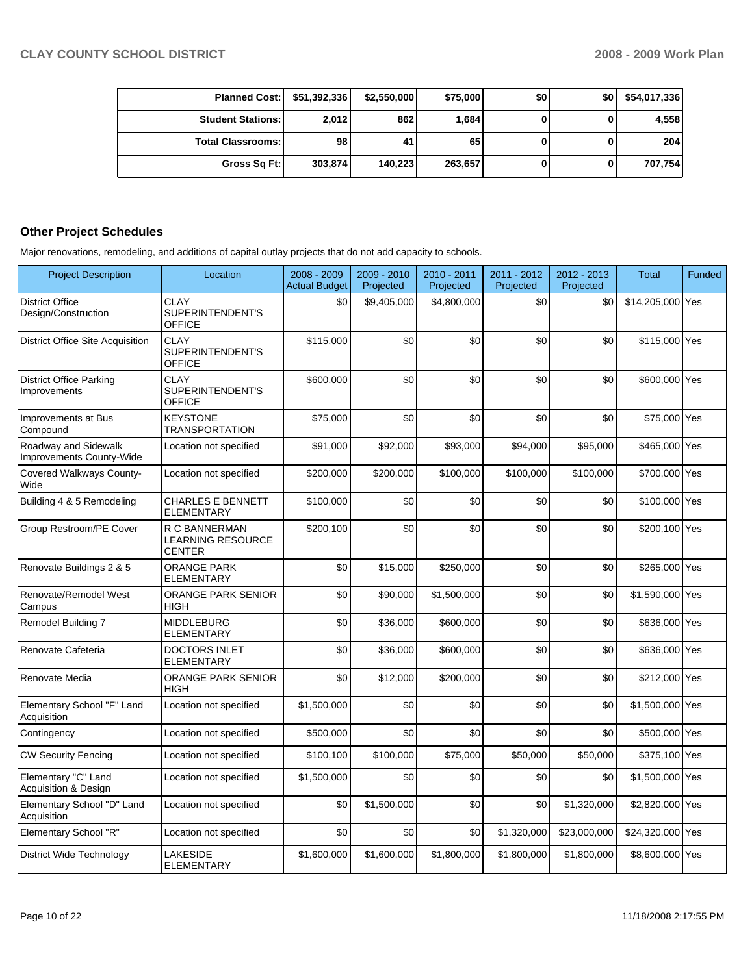| Planned Cost:   \$51,392,336 |         | \$2,550,000 | \$75,000 | \$0 | \$0 | \$54,017,336 |
|------------------------------|---------|-------------|----------|-----|-----|--------------|
| <b>Student Stations:</b>     | 2,012   | 862         | 1,684    |     |     | 4,558        |
| <b>Total Classrooms:</b>     | 98      | 41          | 65       |     |     | 204          |
| Gross Sq Ft:                 | 303,874 | 140.223     | 263,657  |     |     | 707,754      |

# **Other Project Schedules**

Major renovations, remodeling, and additions of capital outlay projects that do not add capacity to schools.

| <b>Project Description</b>                       | Location                                                   | 2008 - 2009<br><b>Actual Budget</b> | 2009 - 2010<br>Projected | 2010 - 2011<br>Projected | 2011 - 2012<br>Projected | 2012 - 2013<br>Projected | <b>Total</b>     | <b>Funded</b> |
|--------------------------------------------------|------------------------------------------------------------|-------------------------------------|--------------------------|--------------------------|--------------------------|--------------------------|------------------|---------------|
| <b>District Office</b><br>Design/Construction    | <b>CLAY</b><br>SUPERINTENDENT'S<br><b>OFFICE</b>           | \$0                                 | \$9,405,000              | \$4,800,000              | \$0                      | \$0                      | \$14,205,000 Yes |               |
| <b>District Office Site Acquisition</b>          | <b>CLAY</b><br>SUPERINTENDENT'S<br><b>OFFICE</b>           | \$115.000                           | \$0                      | \$0                      | \$0                      | \$0                      | \$115,000 Yes    |               |
| <b>District Office Parking</b><br>Improvements   | CLAY<br>SUPERINTENDENT'S<br><b>OFFICE</b>                  | \$600,000                           | \$0                      | \$0                      | \$0                      | \$0                      | \$600,000 Yes    |               |
| Improvements at Bus<br>Compound                  | <b>KEYSTONE</b><br><b>TRANSPORTATION</b>                   | \$75,000                            | \$0                      | \$0                      | \$0                      | \$0                      | \$75,000 Yes     |               |
| Roadway and Sidewalk<br>Improvements County-Wide | Location not specified                                     | \$91,000                            | \$92,000                 | \$93,000                 | \$94,000                 | \$95,000                 | \$465,000 Yes    |               |
| Covered Walkways County-<br>Wide                 | Location not specified                                     | \$200,000                           | \$200,000                | \$100,000                | \$100,000                | \$100,000                | \$700,000 Yes    |               |
| Building 4 & 5 Remodeling                        | <b>CHARLES E BENNETT</b><br>ELEMENTARY                     | \$100,000                           | \$0                      | \$0                      | \$0                      | \$0                      | \$100,000 Yes    |               |
| Group Restroom/PE Cover                          | R C BANNERMAN<br><b>LEARNING RESOURCE</b><br><b>CENTER</b> | \$200,100                           | \$0                      | \$0                      | \$0                      | \$0                      | \$200,100 Yes    |               |
| Renovate Buildings 2 & 5                         | <b>ORANGE PARK</b><br><b>ELEMENTARY</b>                    | \$0                                 | \$15,000                 | \$250,000                | \$0                      | \$0                      | \$265,000 Yes    |               |
| Renovate/Remodel West<br>Campus                  | <b>ORANGE PARK SENIOR</b><br>HIGH                          | \$0                                 | \$90,000                 | \$1,500,000              | \$0                      | \$0                      | \$1,590,000 Yes  |               |
| Remodel Building 7                               | <b>MIDDLEBURG</b><br><b>ELEMENTARY</b>                     | \$0                                 | \$36,000                 | \$600,000                | \$0                      | \$0                      | \$636,000 Yes    |               |
| Renovate Cafeteria                               | <b>DOCTORS INLET</b><br><b>ELEMENTARY</b>                  | \$0                                 | \$36,000                 | \$600,000                | \$0                      | \$0                      | \$636,000 Yes    |               |
| Renovate Media                                   | ORANGE PARK SENIOR<br><b>HIGH</b>                          | \$0                                 | \$12,000                 | \$200,000                | \$0                      | \$0                      | \$212,000 Yes    |               |
| Elementary School "F" Land<br>Acquisition        | Location not specified                                     | \$1,500,000                         | \$0                      | \$0                      | \$0                      | \$0                      | \$1,500,000 Yes  |               |
| Contingency                                      | Location not specified                                     | \$500,000                           | \$0                      | \$0                      | \$0                      | \$0                      | \$500,000 Yes    |               |
| <b>CW Security Fencing</b>                       | Location not specified                                     | \$100,100                           | \$100,000                | \$75,000                 | \$50,000                 | \$50,000                 | \$375,100 Yes    |               |
| Elementary "C" Land<br>Acquisition & Design      | Location not specified                                     | \$1,500,000                         | \$0                      | \$0                      | \$0                      | \$0                      | \$1,500,000 Yes  |               |
| Elementary School "D" Land<br>Acquisition        | Location not specified                                     | \$0                                 | \$1,500,000              | \$0                      | \$0                      | \$1,320,000              | \$2,820,000 Yes  |               |
| Elementary School "R"                            | Location not specified                                     | \$0                                 | \$0                      | \$0                      | \$1,320,000              | \$23,000,000             | \$24,320,000 Yes |               |
| <b>District Wide Technology</b>                  | <b>LAKESIDE</b><br><b>ELEMENTARY</b>                       | \$1,600,000                         | \$1,600,000              | \$1,800,000              | \$1,800,000              | \$1,800,000              | \$8,600,000 Yes  |               |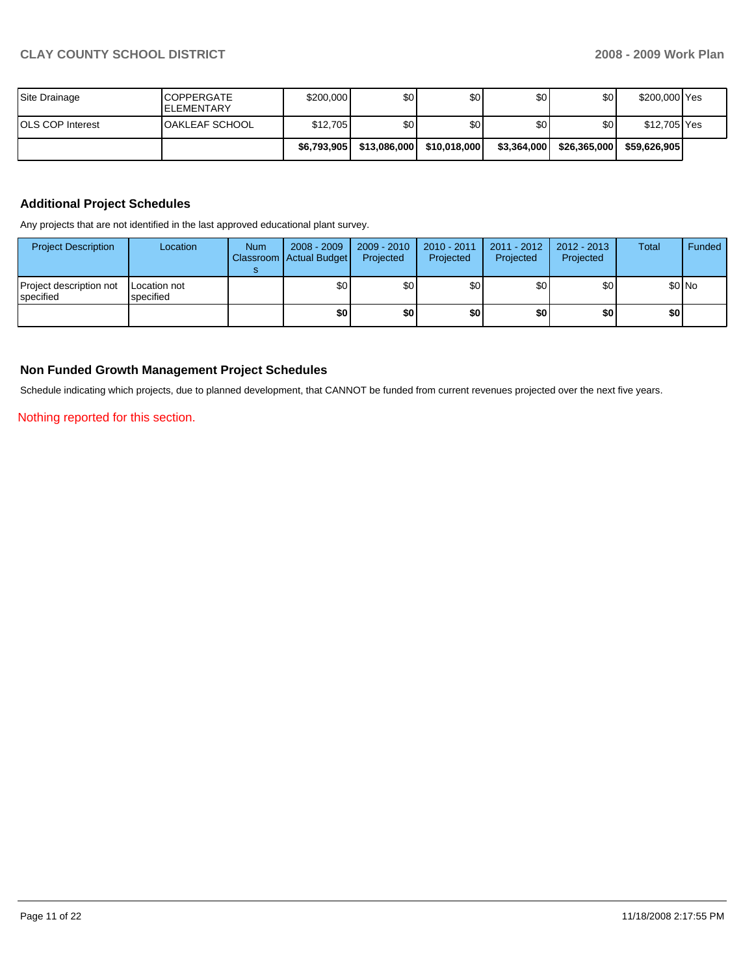| Site Drainage           | <b>ICOPPERGATE</b><br><b>IELEMENTARY</b> | \$200,000   | \$0          | \$0          | \$0         | \$0          | \$200,000 Yes |  |
|-------------------------|------------------------------------------|-------------|--------------|--------------|-------------|--------------|---------------|--|
| <b>OLS COP Interest</b> | OAKLEAF SCHOOL                           | \$12,705    | \$0          | \$0          | \$0         | \$0          | \$12,705 Yes  |  |
|                         |                                          | \$6,793,905 | \$13,086,000 | \$10,018,000 | \$3,364,000 | \$26,365,000 | \$59.626.905  |  |

## **Additional Project Schedules**

Any projects that are not identified in the last approved educational plant survey.

| <b>Project Description</b>                    | Location                  | <b>Num</b> | 2008 - 2009<br>Classroom Actual Budget | 2009 - 2010<br>Projected | $2010 - 2011$<br>Projected | $2011 - 2012$<br>Projected | 2012 - 2013<br>Projected | Total | Funded  |
|-----------------------------------------------|---------------------------|------------|----------------------------------------|--------------------------|----------------------------|----------------------------|--------------------------|-------|---------|
| Project description not<br><b>I</b> specified | Location not<br>specified |            | \$0                                    | \$0                      | \$0                        | \$0                        | \$0                      |       | $$0$ No |
|                                               |                           |            | \$0                                    | \$0                      | \$0                        | \$0                        | \$0                      | \$0   |         |

### **Non Funded Growth Management Project Schedules**

Schedule indicating which projects, due to planned development, that CANNOT be funded from current revenues projected over the next five years.

Nothing reported for this section.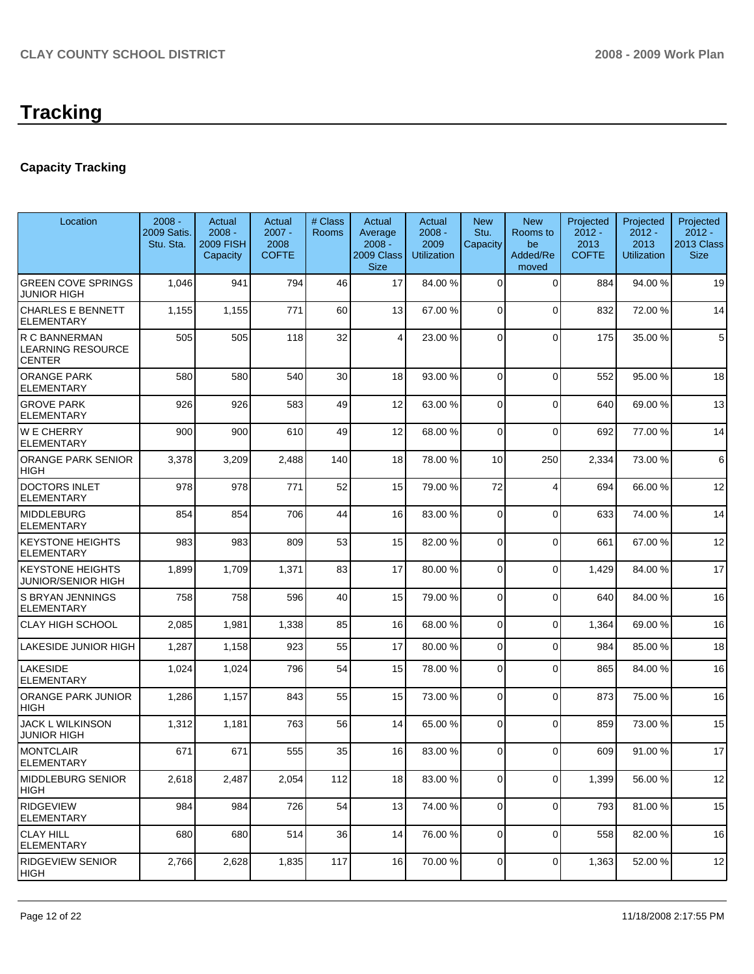# **Capacity Tracking**

| Location                                             | $2008 -$<br>2009 Satis.<br>Stu. Sta. | Actual<br>$2008 -$<br><b>2009 FISH</b><br>Capacity | Actual<br>$2007 -$<br>2008<br><b>COFTE</b> | # Class<br>Rooms | Actual<br>Average<br>$2008 -$<br>2009 Class<br><b>Size</b> | Actual<br>$2008 -$<br>2009<br><b>Utilization</b> | <b>New</b><br>Stu.<br>Capacity | <b>New</b><br>Rooms to<br>be<br>Added/Re<br>moved | Projected<br>$2012 -$<br>2013<br><b>COFTE</b> | Projected<br>$2012 -$<br>2013<br><b>Utilization</b> | Projected<br>$2012 -$<br>2013 Class<br><b>Size</b> |
|------------------------------------------------------|--------------------------------------|----------------------------------------------------|--------------------------------------------|------------------|------------------------------------------------------------|--------------------------------------------------|--------------------------------|---------------------------------------------------|-----------------------------------------------|-----------------------------------------------------|----------------------------------------------------|
| <b>GREEN COVE SPRINGS</b><br>JUNIOR HIGH             | 1,046                                | 941                                                | 794                                        | 46               | 17                                                         | 84.00 %                                          | 0                              | 0                                                 | 884                                           | 94.00 %                                             | 19                                                 |
| <b>CHARLES E BENNETT</b><br>ELEMENTARY               | 1,155                                | 1,155                                              | 771                                        | 60               | 13                                                         | 67.00 %                                          | $\Omega$                       | $\Omega$                                          | 832                                           | 72.00 %                                             | 14                                                 |
| R C BANNERMAN<br>LEARNING RESOURCE<br><b>CENTER</b>  | 505                                  | 505                                                | 118                                        | 32               | 4                                                          | 23.00 %                                          | 0                              | $\Omega$                                          | 175                                           | 35.00 %                                             | 5                                                  |
| <b>ORANGE PARK</b><br>ELEMENTARY                     | 580                                  | 580                                                | 540                                        | 30               | 18                                                         | 93.00 %                                          | $\Omega$                       | $\Omega$                                          | 552                                           | 95.00 %                                             | 18                                                 |
| <b>GROVE PARK</b><br>ELEMENTARY                      | 926                                  | 926                                                | 583                                        | 49               | 12                                                         | 63.00 %                                          | 0                              | $\mathbf 0$                                       | 640                                           | 69.00 %                                             | 13                                                 |
| <b>WE CHERRY</b><br>ELEMENTARY                       | 900                                  | 900                                                | 610                                        | 49               | 12                                                         | 68.00 %                                          | 0                              | $\Omega$                                          | 692                                           | 77.00 %                                             | 14                                                 |
| ORANGE PARK SENIOR<br>HIGH                           | 3,378                                | 3,209                                              | 2,488                                      | 140              | 18                                                         | 78.00 %                                          | 10                             | 250                                               | 2,334                                         | 73.00 %                                             | 6                                                  |
| <b>DOCTORS INLET</b><br>ELEMENTARY                   | 978                                  | 978                                                | 771                                        | 52               | 15                                                         | 79.00 %                                          | 72                             | $\overline{4}$                                    | 694                                           | 66.00 %                                             | 12                                                 |
| <b>MIDDLEBURG</b><br>ELEMENTARY                      | 854                                  | 854                                                | 706                                        | 44               | 16                                                         | 83.00 %                                          | $\mathbf 0$                    | $\Omega$                                          | 633                                           | 74.00 %                                             | 14                                                 |
| <b>KEYSTONE HEIGHTS</b><br>ELEMENTARY                | 983                                  | 983                                                | 809                                        | 53               | 15                                                         | 82.00 %                                          | $\Omega$                       | $\Omega$                                          | 661                                           | 67.00 %                                             | 12                                                 |
| <b>KEYSTONE HEIGHTS</b><br><b>JUNIOR/SENIOR HIGH</b> | 1,899                                | 1,709                                              | 1,371                                      | 83               | 17                                                         | 80.00 %                                          | $\Omega$                       | $\mathbf 0$                                       | 1,429                                         | 84.00 %                                             | 17                                                 |
| S BRYAN JENNINGS<br><b>ELEMENTARY</b>                | 758                                  | 758                                                | 596                                        | 40               | 15                                                         | 79.00 %                                          | $\Omega$                       | $\Omega$                                          | 640                                           | 84.00 %                                             | 16                                                 |
| <b>CLAY HIGH SCHOOL</b>                              | 2,085                                | 1,981                                              | 1,338                                      | 85               | 16                                                         | 68.00 %                                          | $\Omega$                       | $\Omega$                                          | 1,364                                         | 69.00 %                                             | 16                                                 |
| LAKESIDE JUNIOR HIGH                                 | 1,287                                | 1,158                                              | 923                                        | 55               | 17                                                         | 80.00 %                                          | $\Omega$                       | $\Omega$                                          | 984                                           | 85.00 %                                             | 18                                                 |
| LAKESIDE<br><b>ELEMENTARY</b>                        | 1,024                                | 1,024                                              | 796                                        | 54               | 15                                                         | 78.00 %                                          | 0                              | $\Omega$                                          | 865                                           | 84.00 %                                             | 16                                                 |
| ORANGE PARK JUNIOR<br>HIGH                           | 1,286                                | 1,157                                              | 843                                        | 55               | 15                                                         | 73.00 %                                          | $\Omega$                       | $\Omega$                                          | 873                                           | 75.00 %                                             | 16                                                 |
| <b>JACK L WILKINSON</b><br>JUNIOR HIGH               | 1,312                                | 1,181                                              | 763                                        | 56               | 14                                                         | 65.00 %                                          | $\Omega$                       | $\Omega$                                          | 859                                           | 73.00 %                                             | 15                                                 |
| <b>MONTCLAIR</b><br>ELEMENTARY                       | 671                                  | 671                                                | 555                                        | 35               | 16                                                         | 83.00 %                                          | 0                              | $\Omega$                                          | 609                                           | 91.00 %                                             | 17                                                 |
| MIDDLEBURG SENIOR<br>HIGH                            | 2,618                                | 2,487                                              | 2,054                                      | 112              | 18                                                         | 83.00 %                                          | 0                              | 0                                                 | 1,399                                         | 56.00 %                                             | 12                                                 |
| <b>RIDGEVIEW</b><br><b>ELEMENTARY</b>                | 984                                  | 984                                                | 726                                        | 54               | 13                                                         | 74.00 %                                          | $\overline{0}$                 | $\mathbf 0$                                       | 793                                           | 81.00 %                                             | 15                                                 |
| <b>CLAY HILL</b><br><b>ELEMENTARY</b>                | 680                                  | 680                                                | 514                                        | 36               | 14                                                         | 76.00 %                                          | $\overline{0}$                 | 0                                                 | 558                                           | 82.00 %                                             | 16                                                 |
| <b>RIDGEVIEW SENIOR</b><br>HIGH                      | 2,766                                | 2,628                                              | 1,835                                      | 117              | 16                                                         | 70.00 %                                          | 0                              | 0                                                 | 1,363                                         | 52.00 %                                             | 12                                                 |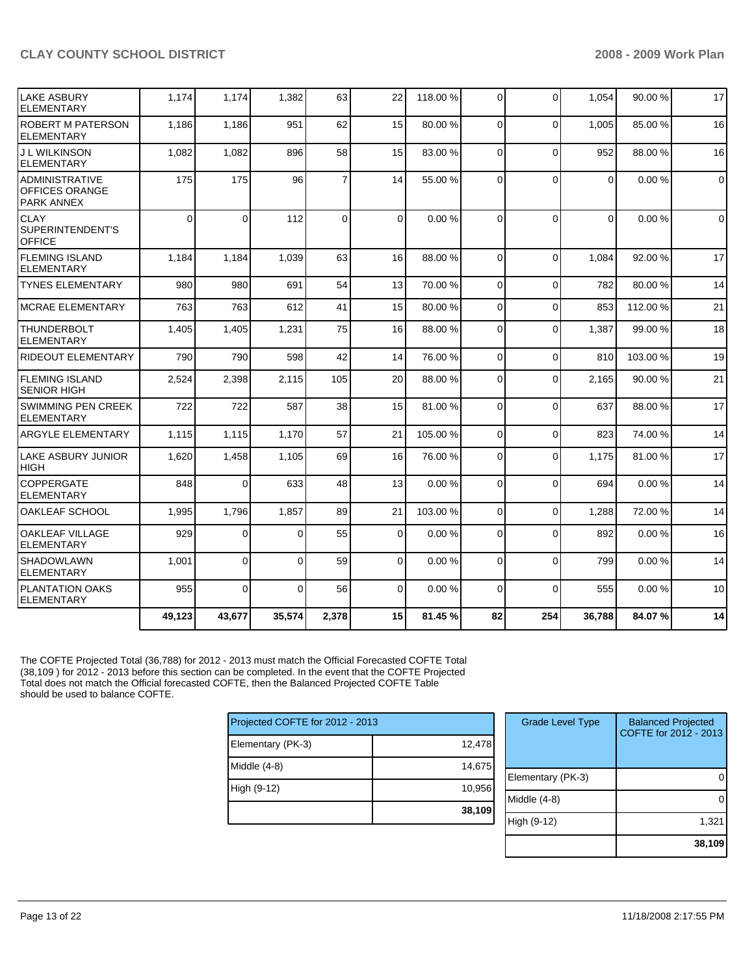| LAKE ASBURY<br><b>ELEMENTARY</b>                        | 1,174    | 1,174          | 1,382    | 63             | 22       | 118.00 % | $\Omega$ | $\Omega$ | 1,054          | 90.00 %  | 17          |
|---------------------------------------------------------|----------|----------------|----------|----------------|----------|----------|----------|----------|----------------|----------|-------------|
| <b>ROBERT M PATERSON</b><br><b>ELEMENTARY</b>           | 1,186    | 1,186          | 951      | 62             | 15       | 80.00 %  | $\Omega$ | $\Omega$ | 1.005          | 85.00 %  | 16          |
| <b>J L WILKINSON</b><br><b>ELEMENTARY</b>               | 1,082    | 1,082          | 896      | 58             | 15       | 83.00 %  | $\Omega$ | $\Omega$ | 952            | 88.00 %  | 16          |
| ADMINISTRATIVE<br>OFFICES ORANGE<br><b>PARK ANNEX</b>   | 175      | 175            | 96       | $\overline{7}$ | 14       | 55.00 %  | $\Omega$ | $\Omega$ | $\overline{0}$ | 0.00%    | $\mathbf 0$ |
| <b>CLAY</b><br><b>SUPERINTENDENT'S</b><br><b>OFFICE</b> | $\Omega$ | $\Omega$       | 112      | $\mathbf 0$    | $\Omega$ | 0.00%    | $\Omega$ | $\Omega$ | $\Omega$       | 0.00%    | $\mathbf 0$ |
| <b>FLEMING ISLAND</b><br><b>ELEMENTARY</b>              | 1,184    | 1,184          | 1,039    | 63             | 16       | 88.00 %  | $\Omega$ | $\Omega$ | 1,084          | 92.00 %  | 17          |
| <b>TYNES ELEMENTARY</b>                                 | 980      | 980            | 691      | 54             | 13       | 70.00 %  | $\Omega$ | $\Omega$ | 782            | 80.00 %  | 14          |
| <b>MCRAE ELEMENTARY</b>                                 | 763      | 763            | 612      | 41             | 15       | 80.00 %  | $\Omega$ | $\Omega$ | 853            | 112.00 % | 21          |
| <b>THUNDERBOLT</b><br><b>ELEMENTARY</b>                 | 1,405    | 1,405          | 1,231    | 75             | 16       | 88.00 %  | $\Omega$ | $\Omega$ | 1,387          | 99.00 %  | 18          |
| <b>RIDEOUT ELEMENTARY</b>                               | 790      | 790            | 598      | 42             | 14       | 76.00 %  | $\Omega$ | $\Omega$ | 810            | 103.00 % | 19          |
| <b>FLEMING ISLAND</b><br><b>SENIOR HIGH</b>             | 2,524    | 2,398          | 2,115    | 105            | 20       | 88.00 %  | $\Omega$ | $\Omega$ | 2.165          | 90.00 %  | 21          |
| <b>SWIMMING PEN CREEK</b><br><b>ELEMENTARY</b>          | 722      | 722            | 587      | 38             | 15       | 81.00 %  | $\Omega$ | $\Omega$ | 637            | 88.00 %  | 17          |
| <b>ARGYLE ELEMENTARY</b>                                | 1,115    | 1,115          | 1,170    | 57             | 21       | 105.00%  | $\Omega$ | $\Omega$ | 823            | 74.00 %  | 14          |
| ILAKE ASBURY JUNIOR<br><b>HIGH</b>                      | 1,620    | 1,458          | 1,105    | 69             | 16       | 76.00 %  | $\Omega$ | $\Omega$ | 1,175          | 81.00 %  | 17          |
| <b>COPPERGATE</b><br><b>ELEMENTARY</b>                  | 848      | $\overline{0}$ | 633      | 48             | 13       | 0.00%    | $\Omega$ | $\Omega$ | 694            | 0.00%    | 14          |
| OAKLEAF SCHOOL                                          | 1,995    | 1,796          | 1,857    | 89             | 21       | 103.00 % | $\Omega$ | $\Omega$ | 1,288          | 72.00 %  | 14          |
| <b>OAKLEAF VILLAGE</b><br><b>ELEMENTARY</b>             | 929      | $\Omega$       | $\Omega$ | 55             | $\Omega$ | 0.00%    | $\Omega$ | $\Omega$ | 892            | 0.00%    | 16          |
| <b>SHADOWLAWN</b><br><b>ELEMENTARY</b>                  | 1,001    | $\overline{0}$ | $\Omega$ | 59             | 0        | 0.00%    | $\Omega$ | $\Omega$ | 799            | 0.00%    | 14          |
| <b>PLANTATION OAKS</b><br><b>ELEMENTARY</b>             | 955      | $\Omega$       | $\Omega$ | 56             | $\Omega$ | 0.00%    | $\Omega$ | $\Omega$ | 555            | 0.00%    | 10          |
|                                                         | 49,123   | 43,677         | 35,574   | 2,378          | 15       | 81.45 %  | 82       | 254      | 36,788         | 84.07%   | 14          |

The COFTE Projected Total (36,788) for 2012 - 2013 must match the Official Forecasted COFTE Total (38,109 ) for 2012 - 2013 before this section can be completed. In the event that the COFTE Projected Total does not match the Official forecasted COFTE, then the Balanced Projected COFTE Table should be used to balance COFTE.

| Projected COFTE for 2012 - 2013 |        |  |  |  |  |
|---------------------------------|--------|--|--|--|--|
| Elementary (PK-3)               | 12,478 |  |  |  |  |
| Middle (4-8)                    | 14,675 |  |  |  |  |
| High (9-12)                     | 10,956 |  |  |  |  |
|                                 | 38,109 |  |  |  |  |

| <b>Grade Level Type</b> | <b>Balanced Projected</b><br>COFTE for 2012 - 2013 |
|-------------------------|----------------------------------------------------|
| Elementary (PK-3)       |                                                    |
| Middle (4-8)            |                                                    |
| High (9-12)             | 1,321                                              |
|                         | 38,109                                             |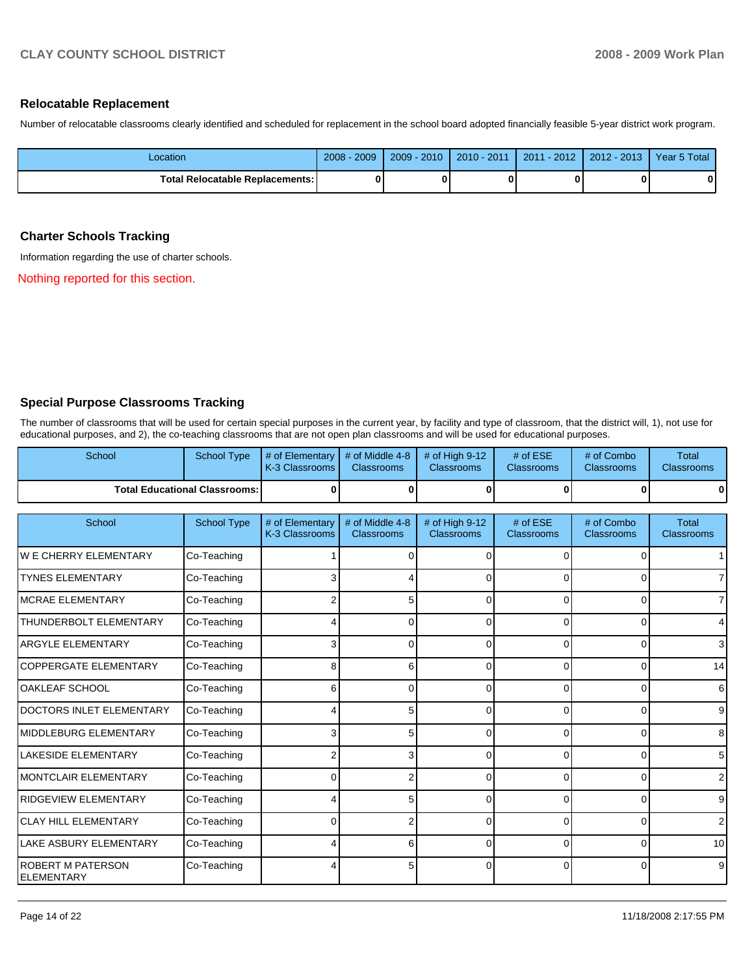#### **Relocatable Replacement**

Number of relocatable classrooms clearly identified and scheduled for replacement in the school board adopted financially feasible 5-year district work program.

| Location                          | 2009<br>$2008 -$ | $2009 - 2010$ | $2010 - 2011$ | 2011 - 2012 | $2012 - 2013$ | Year 5 Total |
|-----------------------------------|------------------|---------------|---------------|-------------|---------------|--------------|
| Total Relocatable Replacements: I |                  |               |               |             |               | Λ            |

# **Charter Schools Tracking**

Information regarding the use of charter schools.

Nothing reported for this section.

# **Special Purpose Classrooms Tracking**

The number of classrooms that will be used for certain special purposes in the current year, by facility and type of classroom, that the district will, 1), not use for educational purposes, and 2), the co-teaching classrooms that are not open plan classrooms and will be used for educational purposes.

| School                                        | <b>School Type</b>                   | # of Elementary<br>K-3 Classrooms | # of Middle 4-8<br><b>Classrooms</b> | # of High 9-12<br>Classrooms | # of ESE<br>Classrooms        | # of Combo<br><b>Classrooms</b> | <b>Total</b><br><b>Classrooms</b> |
|-----------------------------------------------|--------------------------------------|-----------------------------------|--------------------------------------|------------------------------|-------------------------------|---------------------------------|-----------------------------------|
|                                               | <b>Total Educational Classrooms:</b> | 0                                 | $\bf{0}$                             | $\bf{0}$                     | $\bf{0}$                      | $\bf{0}$                        | 0                                 |
| School                                        | <b>School Type</b>                   | # of Elementary<br>K-3 Classrooms | # of Middle 4-8<br><b>Classrooms</b> | # of High 9-12<br>Classrooms | # of ESE<br><b>Classrooms</b> | # of Combo<br>Classrooms        | <b>Total</b><br><b>Classrooms</b> |
| <b>WE CHERRY ELEMENTARY</b>                   | Co-Teaching                          |                                   | $\Omega$                             | 0                            | $\Omega$                      | 0                               |                                   |
| <b>TYNES ELEMENTARY</b>                       | Co-Teaching                          | 3                                 |                                      | 0                            | $\Omega$                      | $\Omega$                        |                                   |
| <b>MCRAE ELEMENTARY</b>                       | Co-Teaching                          | 2                                 | 5                                    | 0                            | $\Omega$                      | 0                               | 7                                 |
| THUNDERBOLT ELEMENTARY                        | Co-Teaching                          |                                   | $\Omega$                             | 0                            | $\Omega$                      | $\Omega$                        | 4                                 |
| <b>ARGYLE ELEMENTARY</b>                      | Co-Teaching                          | 3                                 | 0                                    |                              | 0                             | $\Omega$                        | 3                                 |
| COPPERGATE ELEMENTARY                         | Co-Teaching                          | 8                                 | 6                                    | $\Omega$                     | $\Omega$                      | $\Omega$                        | 14                                |
| <b>OAKLEAF SCHOOL</b>                         | Co-Teaching                          | 6                                 | $\Omega$                             | $\Omega$                     | 0                             | 0                               | 6                                 |
| DOCTORS INLET ELEMENTARY                      | Co-Teaching                          |                                   | 5                                    | 0                            | $\Omega$                      | $\Omega$                        | 9                                 |
| MIDDLEBURG ELEMENTARY                         | Co-Teaching                          | 3                                 | 5                                    | 0                            | $\Omega$                      | $\Omega$                        | 8                                 |
| <b>LAKESIDE ELEMENTARY</b>                    | Co-Teaching                          | 2                                 | 3                                    | 0                            | $\Omega$                      | $\Omega$                        | 5                                 |
| MONTCLAIR ELEMENTARY                          | Co-Teaching                          | $\Omega$                          | 2                                    | 0                            | $\Omega$                      | $\Omega$                        | 2                                 |
| RIDGEVIEW ELEMENTARY                          | Co-Teaching                          | Δ                                 | 5                                    | 0                            | $\Omega$                      | $\Omega$                        | 9                                 |
| <b>CLAY HILL ELEMENTARY</b>                   | Co-Teaching                          | 0                                 | 2                                    | 0                            | 0                             | 0                               | 2                                 |
| <b>LAKE ASBURY ELEMENTARY</b>                 | Co-Teaching                          | Δ                                 | 6                                    | n                            | $\Omega$                      | $\Omega$                        | 10                                |
| <b>ROBERT M PATERSON</b><br><b>ELEMENTARY</b> | Co-Teaching                          |                                   | 5                                    | 0                            | $\Omega$                      | $\Omega$                        | 9                                 |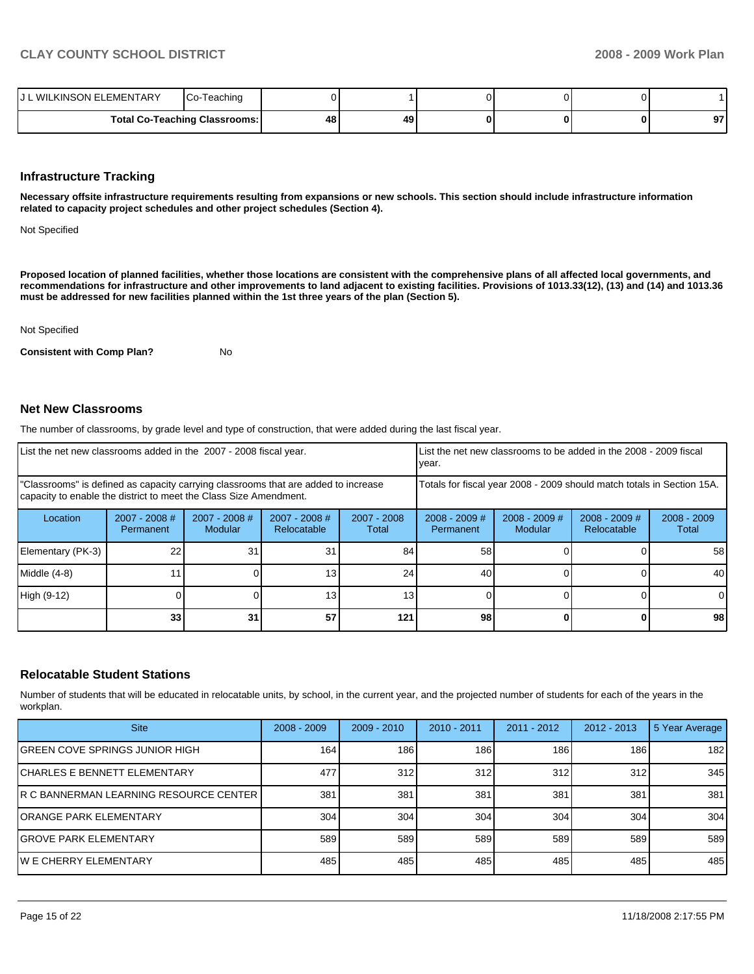| J L WILKINSON ELEMENTARY | Teaching<br>Co-                      |    |    |  |           |
|--------------------------|--------------------------------------|----|----|--|-----------|
|                          | <b>Total Co-Teaching Classrooms:</b> | 48 | 49 |  | 07<br>J 1 |

#### **Infrastructure Tracking**

**Necessary offsite infrastructure requirements resulting from expansions or new schools. This section should include infrastructure information related to capacity project schedules and other project schedules (Section 4).** 

Not Specified

**Proposed location of planned facilities, whether those locations are consistent with the comprehensive plans of all affected local governments, and recommendations for infrastructure and other improvements to land adjacent to existing facilities. Provisions of 1013.33(12), (13) and (14) and 1013.36 must be addressed for new facilities planned within the 1st three years of the plan (Section 5).** 

Not Specified

**Consistent with Comp Plan?** No

#### **Net New Classrooms**

The number of classrooms, by grade level and type of construction, that were added during the last fiscal year.

| List the net new classrooms added in the 2007 - 2008 fiscal year.                                                                                       | year.                        |                            | List the net new classrooms to be added in the 2008 - 2009 fiscal |                      |                              |                            |                                                                        |                        |
|---------------------------------------------------------------------------------------------------------------------------------------------------------|------------------------------|----------------------------|-------------------------------------------------------------------|----------------------|------------------------------|----------------------------|------------------------------------------------------------------------|------------------------|
| "Classrooms" is defined as capacity carrying classrooms that are added to increase<br>capacity to enable the district to meet the Class Size Amendment. |                              |                            |                                                                   |                      |                              |                            | Totals for fiscal year 2008 - 2009 should match totals in Section 15A. |                        |
| Location                                                                                                                                                | $2007 - 2008$ #<br>Permanent | $2007 - 2008$ #<br>Modular | $2007 - 2008$ #<br>Relocatable                                    | 2007 - 2008<br>Total | $2008 - 2009$ #<br>Permanent | $2008 - 2009$ #<br>Modular | $2008 - 2009$ #<br>Relocatable                                         | $2008 - 2009$<br>Total |
| Elementary (PK-3)                                                                                                                                       | 22                           | 31                         | 31                                                                | 84                   | 58                           |                            |                                                                        | 58                     |
| Middle (4-8)                                                                                                                                            |                              |                            |                                                                   | 24                   | 40                           |                            |                                                                        | 40                     |
| High (9-12)                                                                                                                                             |                              |                            | 13.                                                               | 13 <sub>1</sub>      |                              |                            |                                                                        | $\Omega$               |
|                                                                                                                                                         | 33                           | 31                         | 57                                                                | 121                  | 98                           |                            |                                                                        | 98                     |

### **Relocatable Student Stations**

Number of students that will be educated in relocatable units, by school, in the current year, and the projected number of students for each of the years in the workplan.

| <b>Site</b>                              | $2008 - 2009$ | $2009 - 2010$ | $2010 - 2011$ | $2011 - 2012$ | $2012 - 2013$ | 5 Year Average |
|------------------------------------------|---------------|---------------|---------------|---------------|---------------|----------------|
| <b>GREEN COVE SPRINGS JUNIOR HIGH</b>    | 164           | 186           | 186           | 186           | 186           | 182            |
| <b>CHARLES E BENNETT ELEMENTARY</b>      | 477           | 312           | 312           | 312           | 312           | 345            |
| R C BANNERMAN LEARNING RESOURCE CENTER I | 381           | 381           | 381           | 381           | 381           | 381            |
| <b>ORANGE PARK ELEMENTARY</b>            | 304           | 304           | 304           | 304           | 304           | 304            |
| <b>GROVE PARK ELEMENTARY</b>             | 589           | 589           | 589           | 589           | 589           | 589            |
| IW E CHERRY ELEMENTARY                   | 485           | 485           | 485           | 485           | 485           | 485            |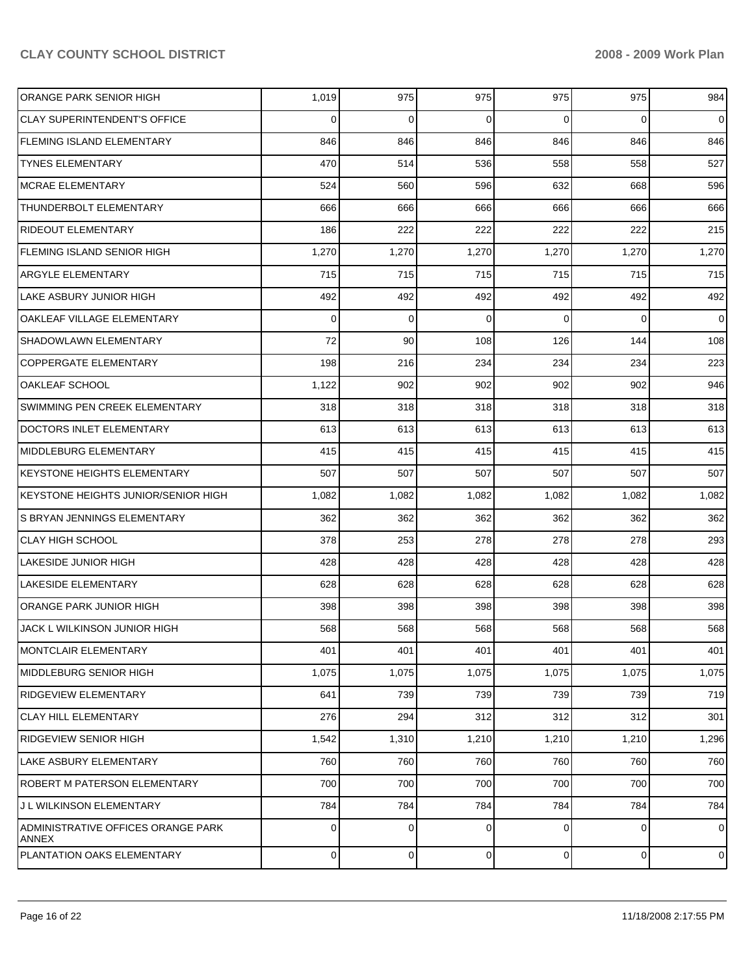| ORANGE PARK SENIOR HIGH                     | 1,019     | 975       | 975         | 975            | 975       | 984            |
|---------------------------------------------|-----------|-----------|-------------|----------------|-----------|----------------|
| <b>CLAY SUPERINTENDENT'S OFFICE</b>         | $\Omega$  | 0         | 0           | $\Omega$       | $\Omega$  | $\overline{0}$ |
| <b>FLEMING ISLAND ELEMENTARY</b>            | 846       | 846       | 846         | 846            | 846       | 846            |
| <b>TYNES ELEMENTARY</b>                     | 470       | 514       | 536         | 558            | 558       | 527            |
| <b>MCRAE ELEMENTARY</b>                     | 524       | 560       | 596         | 632            | 668       | 596            |
| THUNDERBOLT ELEMENTARY                      | 666       | 666       | 666         | 666            | 666       | 666            |
| <b>RIDEOUT ELEMENTARY</b>                   | 186       | 222       | 222         | 222            | 222       | 215            |
| <b>FLEMING ISLAND SENIOR HIGH</b>           | 1,270     | 1,270     | 1,270       | 1,270          | 1,270     | 1,270          |
| ARGYLE ELEMENTARY                           | 715       | 715       | 715         | 715            | 715       | 715            |
| LAKE ASBURY JUNIOR HIGH                     | 492       | 492       | 492         | 492            | 492       | 492            |
| OAKLEAF VILLAGE ELEMENTARY                  | $\Omega$  | 0         | $\mathbf 0$ | $\Omega$       | $\Omega$  | 0              |
| SHADOWLAWN ELEMENTARY                       | 72        | 90        | 108         | 126            | 144       | 108            |
| <b>COPPERGATE ELEMENTARY</b>                | 198       | 216       | 234         | 234            | 234       | 223            |
| OAKLEAF SCHOOL                              | 1,122     | 902       | 902         | 902            | 902       | 946            |
| SWIMMING PEN CREEK ELEMENTARY               | 318       | 318       | 318         | 318            | 318       | 318            |
| DOCTORS INLET ELEMENTARY                    | 613       | 613       | 613         | 613            | 613       | 613            |
| MIDDLEBURG ELEMENTARY                       | 415       | 415       | 415         | 415            | 415       | 415            |
| <b>KEYSTONE HEIGHTS ELEMENTARY</b>          | 507       | 507       | 507         | 507            | 507       | 507            |
| KEYSTONE HEIGHTS JUNIOR/SENIOR HIGH         | 1,082     | 1,082     | 1,082       | 1,082          | 1,082     | 1,082          |
| S BRYAN JENNINGS ELEMENTARY                 | 362       | 362       | 362         | 362            | 362       | 362            |
| <b>CLAY HIGH SCHOOL</b>                     | 378       | 253       | 278         | 278            | 278       | 293            |
| LAKESIDE JUNIOR HIGH                        | 428       | 428       | 428         | 428            | 428       | 428            |
| <b>LAKESIDE ELEMENTARY</b>                  | 628       | 628       | 628         | 628            | 628       | 628            |
| ORANGE PARK JUNIOR HIGH                     | 398       | 398       | 398         | 398            | 398       | 398            |
| JACK L WILKINSON JUNIOR HIGH                | 568       | 568       | 568         | 568            | 568       | 568            |
| <b>MONTCLAIR ELEMENTARY</b>                 | 401       | 401       | 401         | 401            | 401       | 401            |
| <b>MIDDLEBURG SENIOR HIGH</b>               | 1,075     | 1,075     | 1,075       | 1,075          | 1,075     | 1,075          |
| <b>RIDGEVIEW ELEMENTARY</b>                 | 641       | 739       | 739         | 739            | 739       | 719            |
| <b>CLAY HILL ELEMENTARY</b>                 | 276       | 294       | 312         | 312            | 312       | 301            |
| <b>RIDGEVIEW SENIOR HIGH</b>                | 1,542     | 1,310     | 1,210       | 1,210          | 1,210     | 1,296          |
| LAKE ASBURY ELEMENTARY                      | 760       | 760       | 760         | 760            | 760       | 760            |
| <b>ROBERT M PATERSON ELEMENTARY</b>         | 700       | 700       | 700         | 700            | 700       | 700            |
| J L WILKINSON ELEMENTARY                    | 784       | 784       | 784         | 784            | 784       | 784            |
| ADMINISTRATIVE OFFICES ORANGE PARK<br>ANNEX | 0         | 0         | 0           | $\Omega$       | 0         | $\overline{0}$ |
| PLANTATION OAKS ELEMENTARY                  | $\pmb{0}$ | $\pmb{0}$ | $\mathbf 0$ | $\overline{0}$ | $\pmb{0}$ | $\overline{O}$ |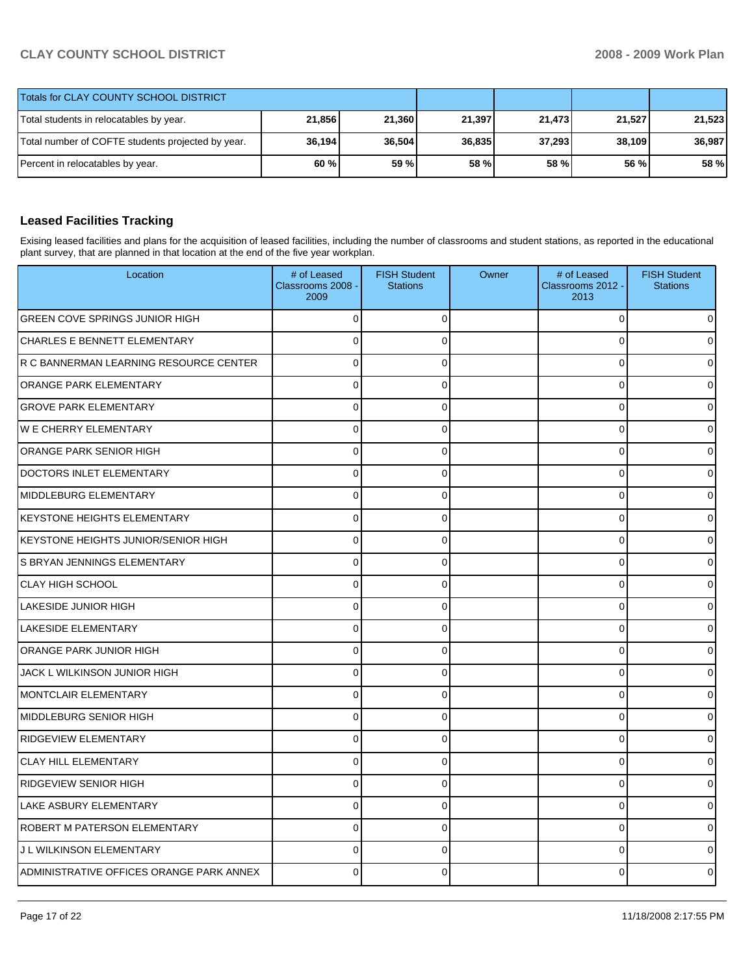| Totals for CLAY COUNTY SCHOOL DISTRICT            |        |        |        |        |        |        |
|---------------------------------------------------|--------|--------|--------|--------|--------|--------|
| Total students in relocatables by year.           | 21,856 | 21,360 | 21,397 | 21,473 | 21.527 | 21,523 |
| Total number of COFTE students projected by year. | 36,194 | 36,504 | 36,835 | 37,293 | 38.109 | 36,987 |
| Percent in relocatables by year.                  | 60 %   | 59 %   | 58 %   | 58 %   | 56 %   | 58 %   |

# **Leased Facilities Tracking**

Exising leased facilities and plans for the acquisition of leased facilities, including the number of classrooms and student stations, as reported in the educational plant survey, that are planned in that location at the end of the five year workplan.

| Location                                 | # of Leased<br>Classrooms 2008 -<br>2009 | <b>FISH Student</b><br><b>Stations</b> | Owner | # of Leased<br>Classrooms 2012 -<br>2013 | <b>FISH Student</b><br><b>Stations</b> |
|------------------------------------------|------------------------------------------|----------------------------------------|-------|------------------------------------------|----------------------------------------|
| <b>GREEN COVE SPRINGS JUNIOR HIGH</b>    | 0                                        | $\Omega$                               |       | $\mathbf 0$                              |                                        |
| <b>CHARLES E BENNETT ELEMENTARY</b>      | 0                                        | $\Omega$                               |       | $\mathbf 0$                              |                                        |
| R C BANNERMAN LEARNING RESOURCE CENTER   | $\mathbf 0$                              | $\Omega$                               |       | $\mathbf 0$                              |                                        |
| ORANGE PARK ELEMENTARY                   | 0                                        | $\mathbf 0$                            |       | $\mathbf 0$                              |                                        |
| <b>GROVE PARK ELEMENTARY</b>             | 0                                        | $\Omega$                               |       | $\mathbf 0$                              |                                        |
| <b>WE CHERRY ELEMENTARY</b>              | $\mathbf 0$                              | $\Omega$                               |       | $\mathbf 0$                              |                                        |
| ORANGE PARK SENIOR HIGH                  | $\overline{0}$                           | $\Omega$                               |       | $\mathbf{0}$                             |                                        |
| DOCTORS INLET ELEMENTARY                 | 0                                        | $\Omega$                               |       | $\mathbf 0$                              |                                        |
| MIDDLEBURG ELEMENTARY                    | $\mathbf 0$                              | 0                                      |       | $\mathbf 0$                              |                                        |
| <b>KEYSTONE HEIGHTS ELEMENTARY</b>       | $\overline{0}$                           | $\Omega$                               |       | $\mathbf 0$                              |                                        |
| KEYSTONE HEIGHTS JUNIOR/SENIOR HIGH      | 0                                        | $\mathbf 0$                            |       | $\mathbf 0$                              |                                        |
| S BRYAN JENNINGS ELEMENTARY              | 0                                        | 0                                      |       | $\mathbf 0$                              |                                        |
| <b>CLAY HIGH SCHOOL</b>                  | $\Omega$                                 | $\Omega$                               |       | $\mathbf 0$                              |                                        |
| <b>LAKESIDE JUNIOR HIGH</b>              | 0                                        | 0                                      |       | $\mathbf 0$                              |                                        |
| <b>LAKESIDE ELEMENTARY</b>               | 0                                        | $\mathbf 0$                            |       | $\mathbf 0$                              |                                        |
| <b>ORANGE PARK JUNIOR HIGH</b>           | 0                                        | $\Omega$                               |       | $\mathbf 0$                              |                                        |
| JACK L WILKINSON JUNIOR HIGH             | $\overline{0}$                           | $\Omega$                               |       | $\mathbf 0$                              |                                        |
| <b>MONTCLAIR ELEMENTARY</b>              | 0                                        | $\mathbf 0$                            |       | $\mathbf 0$                              |                                        |
| MIDDLEBURG SENIOR HIGH                   | 0                                        | $\Omega$                               |       | $\mathbf 0$                              |                                        |
| <b>RIDGEVIEW ELEMENTARY</b>              | $\Omega$                                 | $\Omega$                               |       | $\mathbf 0$                              |                                        |
| <b>CLAY HILL ELEMENTARY</b>              | 0                                        | $\mathbf 0$                            |       | $\mathbf 0$                              |                                        |
| <b>RIDGEVIEW SENIOR HIGH</b>             | 0                                        | $\Omega$                               |       | $\mathbf 0$                              |                                        |
| LAKE ASBURY ELEMENTARY                   | $\mathbf{0}$                             | $\Omega$                               |       | $\mathbf 0$                              |                                        |
| ROBERT M PATERSON ELEMENTARY             | 0                                        | $\mathbf 0$                            |       | $\mathbf 0$                              |                                        |
| J L WILKINSON ELEMENTARY                 | 0                                        | $\Omega$                               |       | $\mathbf 0$                              |                                        |
| ADMINISTRATIVE OFFICES ORANGE PARK ANNEX | $\Omega$                                 | O                                      |       | 0                                        |                                        |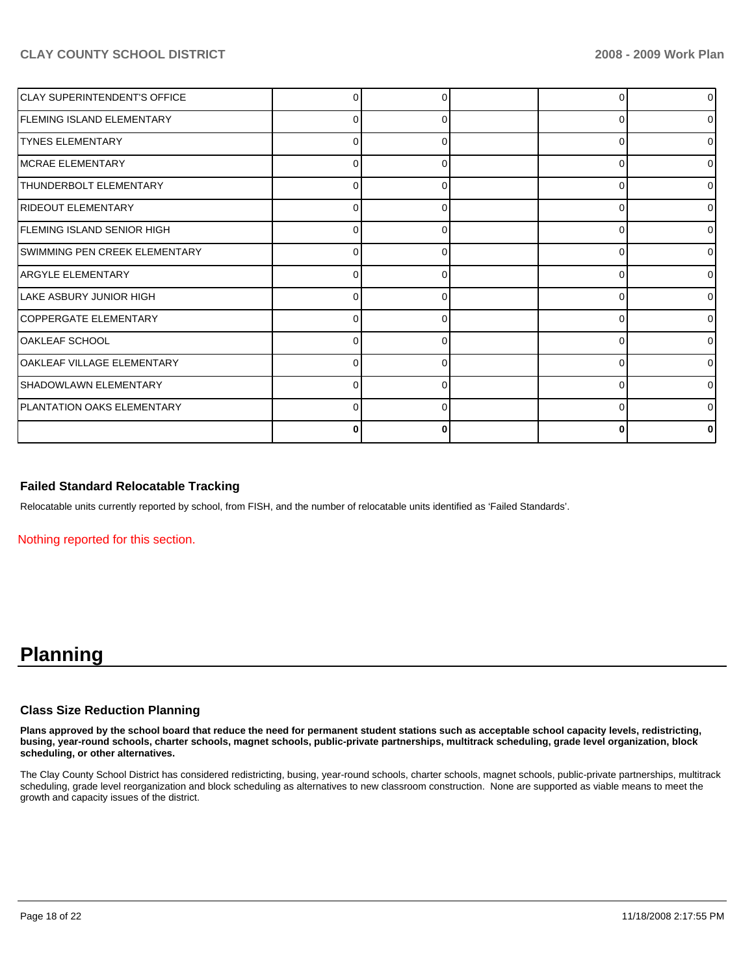| <b>CLAY SUPERINTENDENT'S OFFICE</b> |          |   | 0              | 0            |
|-------------------------------------|----------|---|----------------|--------------|
| <b>FLEMING ISLAND ELEMENTARY</b>    | 0        | 0 | $\overline{0}$ | <sup>n</sup> |
| <b>TYNES ELEMENTARY</b>             | $\Omega$ |   | 0              |              |
| <b>IMCRAE ELEMENTARY</b>            | 0        | 0 | 0              | 0            |
| THUNDERBOLT ELEMENTARY              | 0        | 0 | $\overline{0}$ | n            |
| RIDEOUT ELEMENTARY                  | $\Omega$ |   | $\Omega$       |              |
| FLEMING ISLAND SENIOR HIGH          | 0        | 0 | 0              | <sup>0</sup> |
| SWIMMING PEN CREEK ELEMENTARY       | 0        | 0 | 0              | O            |
| <b>ARGYLE ELEMENTARY</b>            | O        |   | $\Omega$       |              |
| ILAKE ASBURY JUNIOR HIGH            | 0        |   | $\Omega$       | <sup>0</sup> |
| COPPERGATE ELEMENTARY               | 0        | O | 0              |              |
| OAKLEAF SCHOOL                      | O        | ∩ | $\Omega$       | U            |
| <b>OAKLEAF VILLAGE ELEMENTARY</b>   | 0        |   | $\Omega$       |              |
| SHADOWLAWN ELEMENTARY               | 0        | O | $\Omega$       | ∩            |
| <b>PLANTATION OAKS ELEMENTARY</b>   | $\Omega$ | ∩ | 0              |              |
|                                     | 0        |   | $\bf{0}$       |              |

### **Failed Standard Relocatable Tracking**

Relocatable units currently reported by school, from FISH, and the number of relocatable units identified as 'Failed Standards'.

Nothing reported for this section.

# **Planning**

### **Class Size Reduction Planning**

**Plans approved by the school board that reduce the need for permanent student stations such as acceptable school capacity levels, redistricting, busing, year-round schools, charter schools, magnet schools, public-private partnerships, multitrack scheduling, grade level organization, block scheduling, or other alternatives.** 

The Clay County School District has considered redistricting, busing, year-round schools, charter schools, magnet schools, public-private partnerships, multitrack scheduling, grade level reorganization and block scheduling as alternatives to new classroom construction. None are supported as viable means to meet the growth and capacity issues of the district.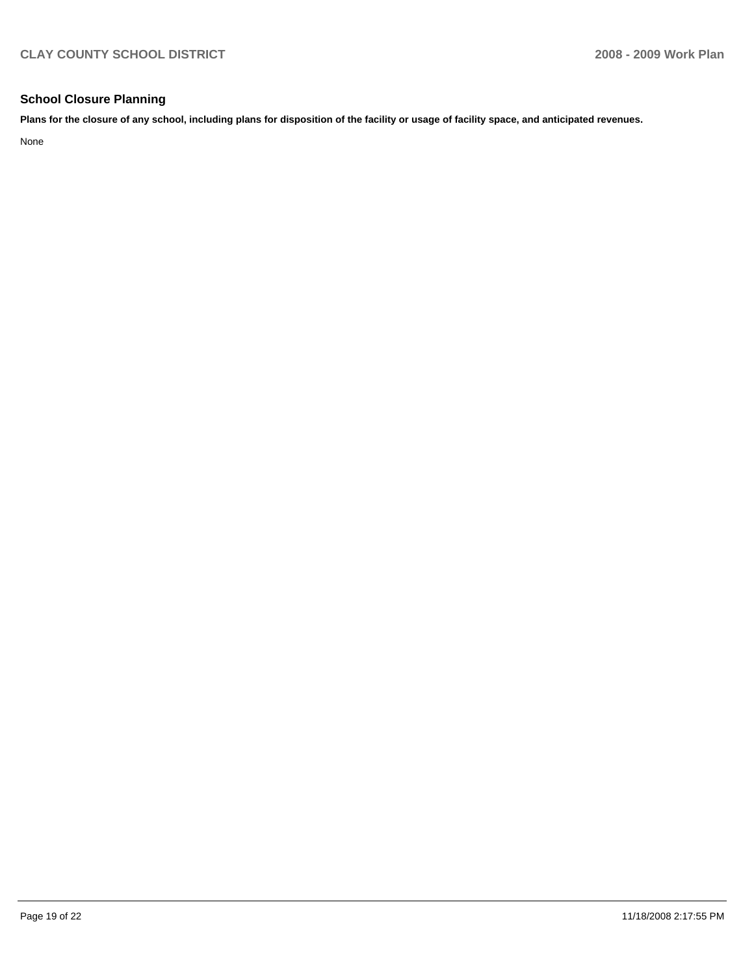# **School Closure Planning**

**Plans for the closure of any school, including plans for disposition of the facility or usage of facility space, and anticipated revenues.** 

None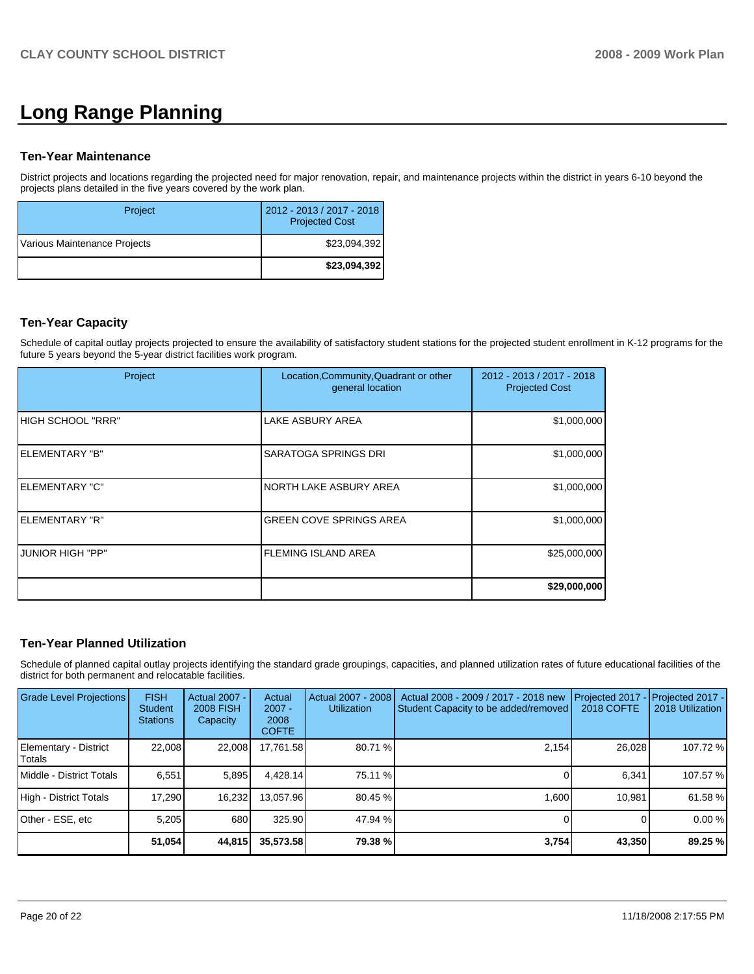# **Long Range Planning**

### **Ten-Year Maintenance**

District projects and locations regarding the projected need for major renovation, repair, and maintenance projects within the district in years 6-10 beyond the projects plans detailed in the five years covered by the work plan.

| Project                      | 2012 - 2013 / 2017 - 2018<br><b>Projected Cost</b> |
|------------------------------|----------------------------------------------------|
| Various Maintenance Projects | \$23.094.392                                       |
|                              | \$23,094,392                                       |

# **Ten-Year Capacity**

Schedule of capital outlay projects projected to ensure the availability of satisfactory student stations for the projected student enrollment in K-12 programs for the future 5 years beyond the 5-year district facilities work program.

| Project                 | Location, Community, Quadrant or other<br>general location | 2012 - 2013 / 2017 - 2018<br><b>Projected Cost</b> |
|-------------------------|------------------------------------------------------------|----------------------------------------------------|
| IHIGH SCHOOL "RRR"      | LAKE ASBURY AREA                                           | \$1,000,000                                        |
| IELEMENTARY "B"         | SARATOGA SPRINGS DRI                                       | \$1,000,000                                        |
| IELEMENTARY "C"         | NORTH LAKE ASBURY AREA                                     | \$1,000,000                                        |
| IELEMENTARY "R"         | <b>GREEN COVE SPRINGS AREA</b>                             | \$1,000,000                                        |
| <b>JUNIOR HIGH "PP"</b> | <b>FLEMING ISLAND AREA</b>                                 | \$25,000,000                                       |
|                         |                                                            | \$29,000,000                                       |

# **Ten-Year Planned Utilization**

Schedule of planned capital outlay projects identifying the standard grade groupings, capacities, and planned utilization rates of future educational facilities of the district for both permanent and relocatable facilities.

| Grade Level Projections         | <b>FISH</b><br>Student<br><b>Stations</b> | Actual 2007 -<br><b>2008 FISH</b><br>Capacity | Actual<br>$2007 -$<br>2008<br><b>COFTE</b> | Actual 2007 - 2008<br><b>Utilization</b> | Actual 2008 - 2009 / 2017 - 2018 new<br>Student Capacity to be added/removed | Projected 2017<br>2018 COFTE | Projected 2017 -<br>2018 Utilization |
|---------------------------------|-------------------------------------------|-----------------------------------------------|--------------------------------------------|------------------------------------------|------------------------------------------------------------------------------|------------------------------|--------------------------------------|
| Elementary - District<br>Totals | 22.008                                    | 22,008                                        | 17.761.58                                  | 80.71 %                                  | 2.154                                                                        | 26.028                       | 107.72 %                             |
| Middle - District Totals        | 6.551                                     | 5,895                                         | 4.428.14                                   | 75.11 %                                  |                                                                              | 6.341                        | 107.57 %                             |
| High - District Totals          | 17.290                                    | 16,232                                        | 13.057.96                                  | 80.45 %                                  | 1.600                                                                        | 10.981                       | 61.58 %                              |
| Other - ESE, etc                | 5,205                                     | 680                                           | 325.90                                     | 47.94 %                                  |                                                                              |                              | 0.00%                                |
|                                 | 51,054                                    | 44,815                                        | 35,573.58                                  | 79.38 %                                  | 3,754                                                                        | 43,350                       | 89.25 %                              |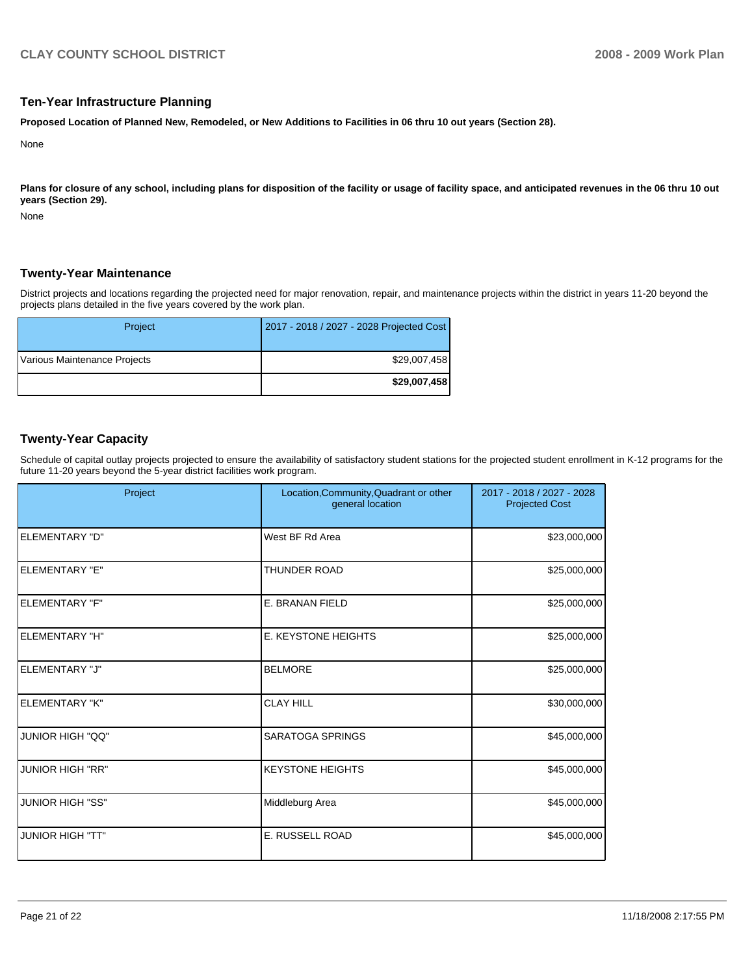## **Ten-Year Infrastructure Planning**

**Proposed Location of Planned New, Remodeled, or New Additions to Facilities in 06 thru 10 out years (Section 28).** 

None

Plans for closure of any school, including plans for disposition of the facility or usage of facility space, and anticipated revenues in the 06 thru 10 out **years (Section 29).** 

None

## **Twenty-Year Maintenance**

District projects and locations regarding the projected need for major renovation, repair, and maintenance projects within the district in years 11-20 beyond the projects plans detailed in the five years covered by the work plan.

| Project                      | 2017 - 2018 / 2027 - 2028 Projected Cost |
|------------------------------|------------------------------------------|
| Various Maintenance Projects | \$29,007,458                             |
|                              | \$29,007,458                             |

# **Twenty-Year Capacity**

Schedule of capital outlay projects projected to ensure the availability of satisfactory student stations for the projected student enrollment in K-12 programs for the future 11-20 years beyond the 5-year district facilities work program.

| Project                 | Location, Community, Quadrant or other<br>general location | 2017 - 2018 / 2027 - 2028<br><b>Projected Cost</b> |
|-------------------------|------------------------------------------------------------|----------------------------------------------------|
| <b>ELEMENTARY "D"</b>   | West BF Rd Area                                            | \$23,000,000                                       |
| ELEMENTARY "E"          | <b>THUNDER ROAD</b>                                        | \$25,000,000                                       |
| <b>ELEMENTARY "F"</b>   | E. BRANAN FIELD                                            | \$25,000,000                                       |
| ELEMENTARY "H"          | <b>E. KEYSTONE HEIGHTS</b>                                 | \$25,000,000                                       |
| ELEMENTARY "J"          | <b>BELMORE</b>                                             | \$25,000,000                                       |
| <b>ELEMENTARY "K"</b>   | <b>CLAY HILL</b>                                           | \$30,000,000                                       |
| <b>JUNIOR HIGH "QQ"</b> | <b>SARATOGA SPRINGS</b>                                    | \$45,000,000                                       |
| <b>JUNIOR HIGH "RR"</b> | <b>KEYSTONE HEIGHTS</b>                                    | \$45,000,000                                       |
| <b>JUNIOR HIGH "SS"</b> | Middleburg Area                                            | \$45,000,000                                       |
| <b>JUNIOR HIGH "TT"</b> | E. RUSSELL ROAD                                            | \$45,000,000                                       |